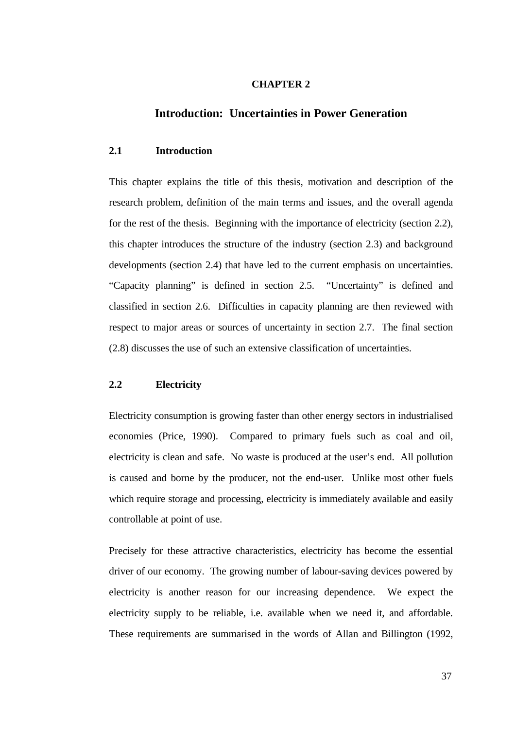### **CHAPTER 2**

# **Introduction: Uncertainties in Power Generation**

## **2.1 Introduction**

This chapter explains the title of this thesis, motivation and description of the research problem, definition of the main terms and issues, and the overall agenda for the rest of the thesis. Beginning with the importance of electricity (section 2.2), this chapter introduces the structure of the industry (section 2.3) and background developments (section 2.4) that have led to the current emphasis on uncertainties. "Capacity planning" is defined in section 2.5. "Uncertainty" is defined and classified in section 2.6. Difficulties in capacity planning are then reviewed with respect to major areas or sources of uncertainty in section 2.7. The final section (2.8) discusses the use of such an extensive classification of uncertainties.

# **2.2 Electricity**

Electricity consumption is growing faster than other energy sectors in industrialised economies (Price, 1990). Compared to primary fuels such as coal and oil, electricity is clean and safe. No waste is produced at the user's end. All pollution is caused and borne by the producer, not the end-user. Unlike most other fuels which require storage and processing, electricity is immediately available and easily controllable at point of use.

Precisely for these attractive characteristics, electricity has become the essential driver of our economy. The growing number of labour-saving devices powered by electricity is another reason for our increasing dependence. We expect the electricity supply to be reliable, i.e. available when we need it, and affordable. These requirements are summarised in the words of Allan and Billington (1992,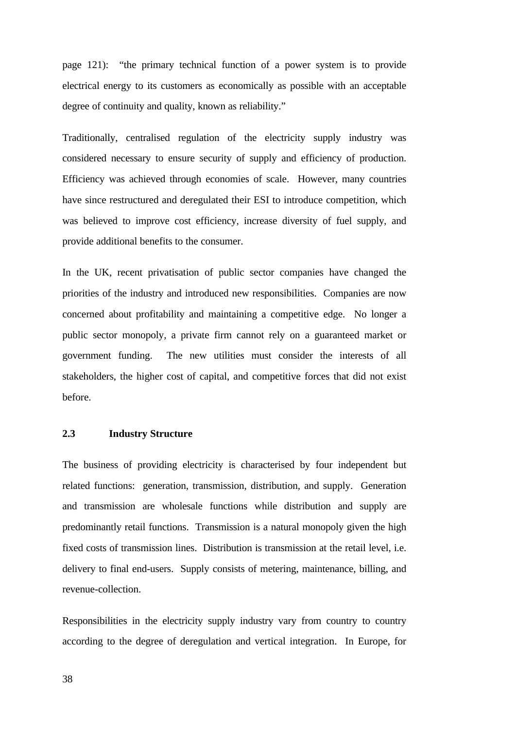page 121): "the primary technical function of a power system is to provide electrical energy to its customers as economically as possible with an acceptable degree of continuity and quality, known as reliability."

Traditionally, centralised regulation of the electricity supply industry was considered necessary to ensure security of supply and efficiency of production. Efficiency was achieved through economies of scale. However, many countries have since restructured and deregulated their ESI to introduce competition, which was believed to improve cost efficiency, increase diversity of fuel supply, and provide additional benefits to the consumer.

In the UK, recent privatisation of public sector companies have changed the priorities of the industry and introduced new responsibilities. Companies are now concerned about profitability and maintaining a competitive edge. No longer a public sector monopoly, a private firm cannot rely on a guaranteed market or government funding. The new utilities must consider the interests of all stakeholders, the higher cost of capital, and competitive forces that did not exist before.

## **2.3 Industry Structure**

The business of providing electricity is characterised by four independent but related functions: generation, transmission, distribution, and supply. Generation and transmission are wholesale functions while distribution and supply are predominantly retail functions. Transmission is a natural monopoly given the high fixed costs of transmission lines. Distribution is transmission at the retail level, i.e. delivery to final end-users. Supply consists of metering, maintenance, billing, and revenue-collection.

Responsibilities in the electricity supply industry vary from country to country according to the degree of deregulation and vertical integration. In Europe, for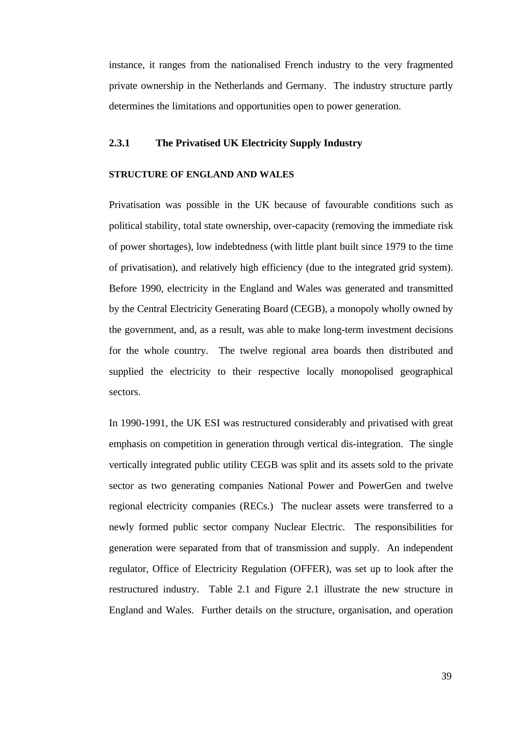instance, it ranges from the nationalised French industry to the very fragmented private ownership in the Netherlands and Germany. The industry structure partly determines the limitations and opportunities open to power generation.

# **2.3.1 The Privatised UK Electricity Supply Industry**

### **STRUCTURE OF ENGLAND AND WALES**

Privatisation was possible in the UK because of favourable conditions such as political stability, total state ownership, over-capacity (removing the immediate risk of power shortages), low indebtedness (with little plant built since 1979 to the time of privatisation), and relatively high efficiency (due to the integrated grid system). Before 1990, electricity in the England and Wales was generated and transmitted by the Central Electricity Generating Board (CEGB), a monopoly wholly owned by the government, and, as a result, was able to make long-term investment decisions for the whole country. The twelve regional area boards then distributed and supplied the electricity to their respective locally monopolised geographical sectors.

In 1990-1991, the UK ESI was restructured considerably and privatised with great emphasis on competition in generation through vertical dis-integration. The single vertically integrated public utility CEGB was split and its assets sold to the private sector as two generating companies National Power and PowerGen and twelve regional electricity companies (RECs.) The nuclear assets were transferred to a newly formed public sector company Nuclear Electric. The responsibilities for generation were separated from that of transmission and supply. An independent regulator, Office of Electricity Regulation (OFFER), was set up to look after the restructured industry. Table 2.1 and Figure 2.1 illustrate the new structure in England and Wales. Further details on the structure, organisation, and operation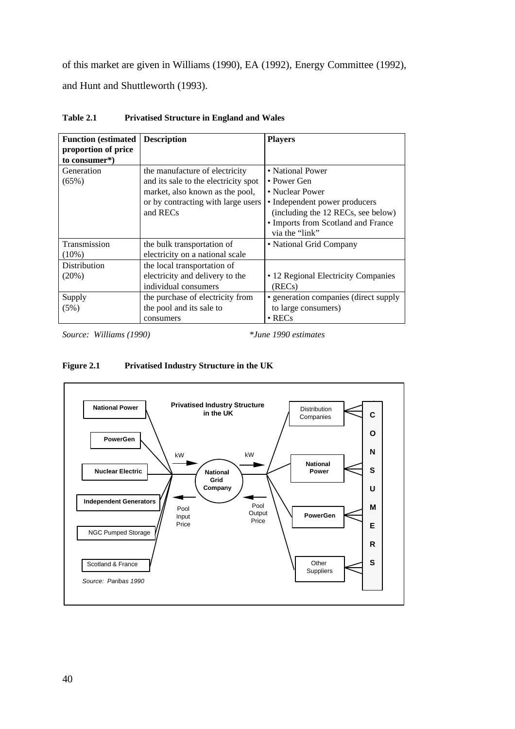of this market are given in Williams (1990), EA (1992), Energy Committee (1992), and Hunt and Shuttleworth (1993).

| <b>Function</b> (estimated           | <b>Description</b>                   | <b>Players</b>                        |
|--------------------------------------|--------------------------------------|---------------------------------------|
| proportion of price<br>to consumer*) |                                      |                                       |
| Generation                           | the manufacture of electricity       | • National Power                      |
| $(65\%)$                             | and its sale to the electricity spot | • Power Gen                           |
|                                      | market, also known as the pool,      | • Nuclear Power                       |
|                                      | or by contracting with large users   | • Independent power producers         |
|                                      | and RECs                             | (including the 12 RECs, see below)    |
|                                      |                                      | • Imports from Scotland and France    |
|                                      |                                      | via the "link"                        |
| Transmission                         | the bulk transportation of           | • National Grid Company               |
| $(10\%)$                             | electricity on a national scale      |                                       |
| Distribution                         | the local transportation of          |                                       |
| $(20\%)$                             | electricity and delivery to the      | • 12 Regional Electricity Companies   |
|                                      | individual consumers                 | (RECs)                                |
| Supply                               | the purchase of electricity from     | • generation companies (direct supply |
| (5%)                                 | the pool and its sale to             | to large consumers)                   |
|                                      | consumers                            | $\cdot$ RECs                          |

**Table 2.1 Privatised Structure in England and Wales**

*Source: Williams (1990) \*June 1990 estimates*



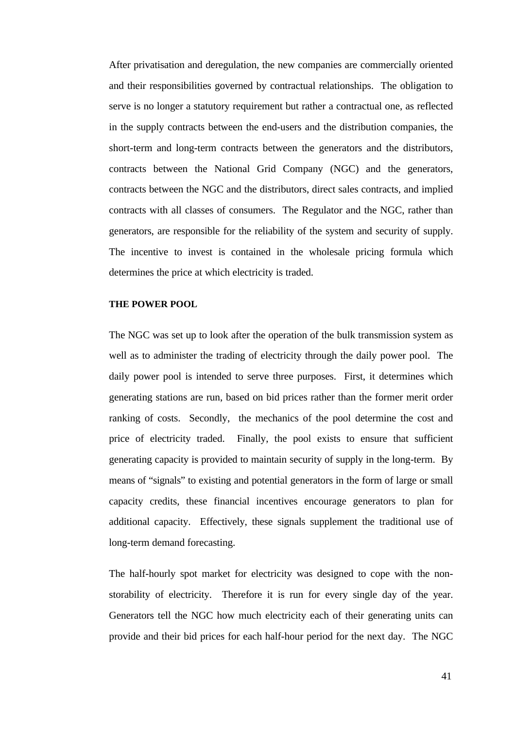After privatisation and deregulation, the new companies are commercially oriented and their responsibilities governed by contractual relationships. The obligation to serve is no longer a statutory requirement but rather a contractual one, as reflected in the supply contracts between the end-users and the distribution companies, the short-term and long-term contracts between the generators and the distributors, contracts between the National Grid Company (NGC) and the generators, contracts between the NGC and the distributors, direct sales contracts, and implied contracts with all classes of consumers. The Regulator and the NGC, rather than generators, are responsible for the reliability of the system and security of supply. The incentive to invest is contained in the wholesale pricing formula which determines the price at which electricity is traded.

### **THE POWER POOL**

The NGC was set up to look after the operation of the bulk transmission system as well as to administer the trading of electricity through the daily power pool. The daily power pool is intended to serve three purposes. First, it determines which generating stations are run, based on bid prices rather than the former merit order ranking of costs. Secondly, the mechanics of the pool determine the cost and price of electricity traded. Finally, the pool exists to ensure that sufficient generating capacity is provided to maintain security of supply in the long-term. By means of "signals" to existing and potential generators in the form of large or small capacity credits, these financial incentives encourage generators to plan for additional capacity. Effectively, these signals supplement the traditional use of long-term demand forecasting.

The half-hourly spot market for electricity was designed to cope with the nonstorability of electricity. Therefore it is run for every single day of the year. Generators tell the NGC how much electricity each of their generating units can provide and their bid prices for each half-hour period for the next day. The NGC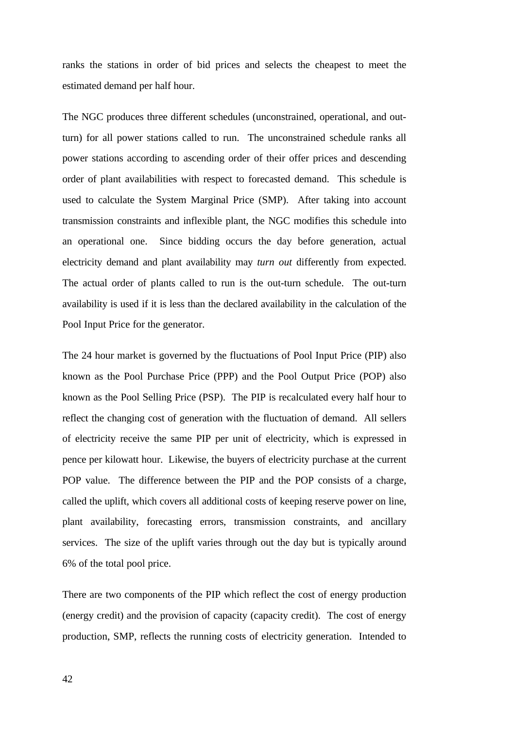ranks the stations in order of bid prices and selects the cheapest to meet the estimated demand per half hour.

The NGC produces three different schedules (unconstrained, operational, and outturn) for all power stations called to run. The unconstrained schedule ranks all power stations according to ascending order of their offer prices and descending order of plant availabilities with respect to forecasted demand. This schedule is used to calculate the System Marginal Price (SMP). After taking into account transmission constraints and inflexible plant, the NGC modifies this schedule into an operational one. Since bidding occurs the day before generation, actual electricity demand and plant availability may *turn out* differently from expected. The actual order of plants called to run is the out-turn schedule. The out-turn availability is used if it is less than the declared availability in the calculation of the Pool Input Price for the generator.

The 24 hour market is governed by the fluctuations of Pool Input Price (PIP) also known as the Pool Purchase Price (PPP) and the Pool Output Price (POP) also known as the Pool Selling Price (PSP). The PIP is recalculated every half hour to reflect the changing cost of generation with the fluctuation of demand. All sellers of electricity receive the same PIP per unit of electricity, which is expressed in pence per kilowatt hour. Likewise, the buyers of electricity purchase at the current POP value. The difference between the PIP and the POP consists of a charge, called the uplift, which covers all additional costs of keeping reserve power on line, plant availability, forecasting errors, transmission constraints, and ancillary services. The size of the uplift varies through out the day but is typically around 6% of the total pool price.

There are two components of the PIP which reflect the cost of energy production (energy credit) and the provision of capacity (capacity credit). The cost of energy production, SMP, reflects the running costs of electricity generation. Intended to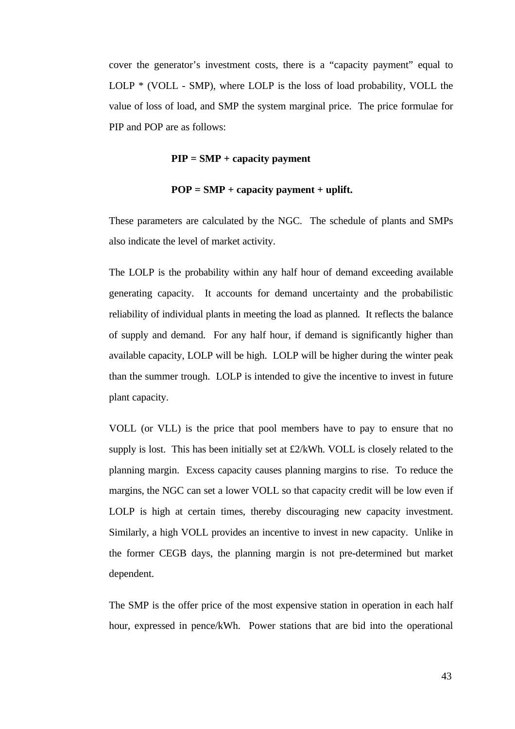cover the generator's investment costs, there is a "capacity payment" equal to LOLP  $*$  (VOLL - SMP), where LOLP is the loss of load probability, VOLL the value of loss of load, and SMP the system marginal price. The price formulae for PIP and POP are as follows:

## **PIP = SMP + capacity payment**

### **POP = SMP + capacity payment + uplift.**

These parameters are calculated by the NGC. The schedule of plants and SMPs also indicate the level of market activity.

The LOLP is the probability within any half hour of demand exceeding available generating capacity. It accounts for demand uncertainty and the probabilistic reliability of individual plants in meeting the load as planned. It reflects the balance of supply and demand. For any half hour, if demand is significantly higher than available capacity, LOLP will be high. LOLP will be higher during the winter peak than the summer trough. LOLP is intended to give the incentive to invest in future plant capacity.

VOLL (or VLL) is the price that pool members have to pay to ensure that no supply is lost. This has been initially set at £2/kWh. VOLL is closely related to the planning margin. Excess capacity causes planning margins to rise. To reduce the margins, the NGC can set a lower VOLL so that capacity credit will be low even if LOLP is high at certain times, thereby discouraging new capacity investment. Similarly, a high VOLL provides an incentive to invest in new capacity. Unlike in the former CEGB days, the planning margin is not pre-determined but market dependent.

The SMP is the offer price of the most expensive station in operation in each half hour, expressed in pence/kWh. Power stations that are bid into the operational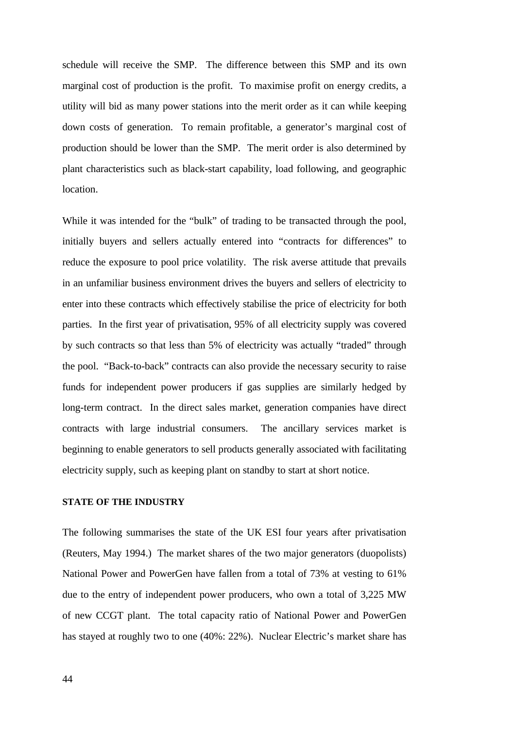schedule will receive the SMP. The difference between this SMP and its own marginal cost of production is the profit. To maximise profit on energy credits, a utility will bid as many power stations into the merit order as it can while keeping down costs of generation. To remain profitable, a generator's marginal cost of production should be lower than the SMP. The merit order is also determined by plant characteristics such as black-start capability, load following, and geographic location.

While it was intended for the "bulk" of trading to be transacted through the pool, initially buyers and sellers actually entered into "contracts for differences" to reduce the exposure to pool price volatility. The risk averse attitude that prevails in an unfamiliar business environment drives the buyers and sellers of electricity to enter into these contracts which effectively stabilise the price of electricity for both parties. In the first year of privatisation, 95% of all electricity supply was covered by such contracts so that less than 5% of electricity was actually "traded" through the pool. "Back-to-back" contracts can also provide the necessary security to raise funds for independent power producers if gas supplies are similarly hedged by long-term contract. In the direct sales market, generation companies have direct contracts with large industrial consumers. The ancillary services market is beginning to enable generators to sell products generally associated with facilitating electricity supply, such as keeping plant on standby to start at short notice.

#### **STATE OF THE INDUSTRY**

The following summarises the state of the UK ESI four years after privatisation (Reuters, May 1994.) The market shares of the two major generators (duopolists) National Power and PowerGen have fallen from a total of 73% at vesting to 61% due to the entry of independent power producers, who own a total of 3,225 MW of new CCGT plant. The total capacity ratio of National Power and PowerGen has stayed at roughly two to one (40%: 22%). Nuclear Electric's market share has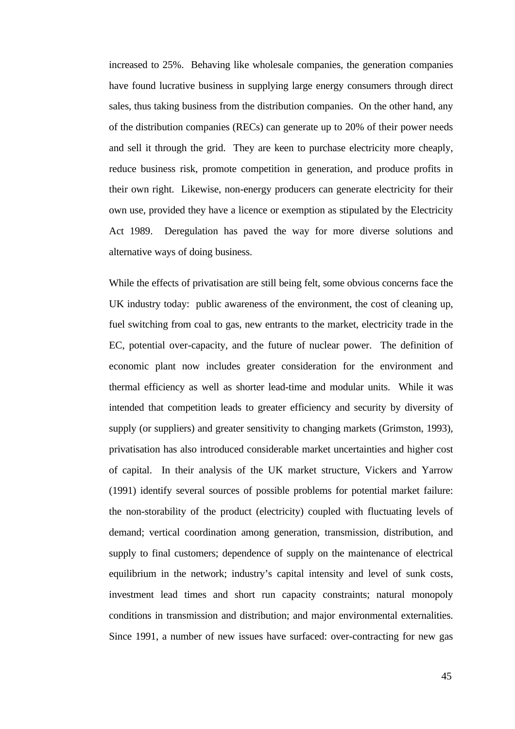increased to 25%. Behaving like wholesale companies, the generation companies have found lucrative business in supplying large energy consumers through direct sales, thus taking business from the distribution companies. On the other hand, any of the distribution companies (RECs) can generate up to 20% of their power needs and sell it through the grid. They are keen to purchase electricity more cheaply, reduce business risk, promote competition in generation, and produce profits in their own right. Likewise, non-energy producers can generate electricity for their own use, provided they have a licence or exemption as stipulated by the Electricity Act 1989. Deregulation has paved the way for more diverse solutions and alternative ways of doing business.

While the effects of privatisation are still being felt, some obvious concerns face the UK industry today: public awareness of the environment, the cost of cleaning up, fuel switching from coal to gas, new entrants to the market, electricity trade in the EC, potential over-capacity, and the future of nuclear power. The definition of economic plant now includes greater consideration for the environment and thermal efficiency as well as shorter lead-time and modular units. While it was intended that competition leads to greater efficiency and security by diversity of supply (or suppliers) and greater sensitivity to changing markets (Grimston, 1993), privatisation has also introduced considerable market uncertainties and higher cost of capital. In their analysis of the UK market structure, Vickers and Yarrow (1991) identify several sources of possible problems for potential market failure: the non-storability of the product (electricity) coupled with fluctuating levels of demand; vertical coordination among generation, transmission, distribution, and supply to final customers; dependence of supply on the maintenance of electrical equilibrium in the network; industry's capital intensity and level of sunk costs, investment lead times and short run capacity constraints; natural monopoly conditions in transmission and distribution; and major environmental externalities. Since 1991, a number of new issues have surfaced: over-contracting for new gas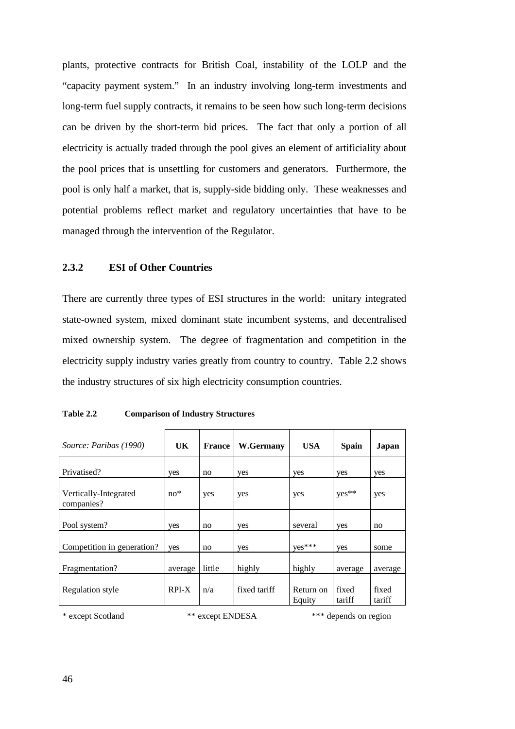plants, protective contracts for British Coal, instability of the LOLP and the "capacity payment system." In an industry involving long-term investments and long-term fuel supply contracts, it remains to be seen how such long-term decisions can be driven by the short-term bid prices. The fact that only a portion of all electricity is actually traded through the pool gives an element of artificiality about the pool prices that is unsettling for customers and generators. Furthermore, the pool is only half a market, that is, supply-side bidding only. These weaknesses and potential problems reflect market and regulatory uncertainties that have to be managed through the intervention of the Regulator.

# **2.3.2 ESI of Other Countries**

There are currently three types of ESI structures in the world: unitary integrated state-owned system, mixed dominant state incumbent systems, and decentralised mixed ownership system. The degree of fragmentation and competition in the electricity supply industry varies greatly from country to country. Table 2.2 shows the industry structures of six high electricity consumption countries.

| Source: Paribas (1990)              | <b>UK</b> | <b>France</b> | W.Germany    | <b>USA</b>          | <b>Spain</b>    | Japan           |
|-------------------------------------|-----------|---------------|--------------|---------------------|-----------------|-----------------|
| Privatised?                         | yes       | no            | yes          | yes                 | yes             | yes             |
| Vertically-Integrated<br>companies? | $no*$     | yes           | yes          | yes                 | yes**           | yes             |
| Pool system?                        | yes       | no            | yes          | several             | yes             | no              |
| Competition in generation?          | yes       | no            | yes          | yes***              | yes             | some            |
| Fragmentation?                      | average   | little        | highly       | highly              | average         | average         |
| Regulation style                    | RPI-X     | n/a           | fixed tariff | Return on<br>Equity | fixed<br>tariff | fixed<br>tariff |

**Table 2.2 Comparison of Industry Structures**

\* except Scotland \*\* except ENDESA \*\*\* depends on region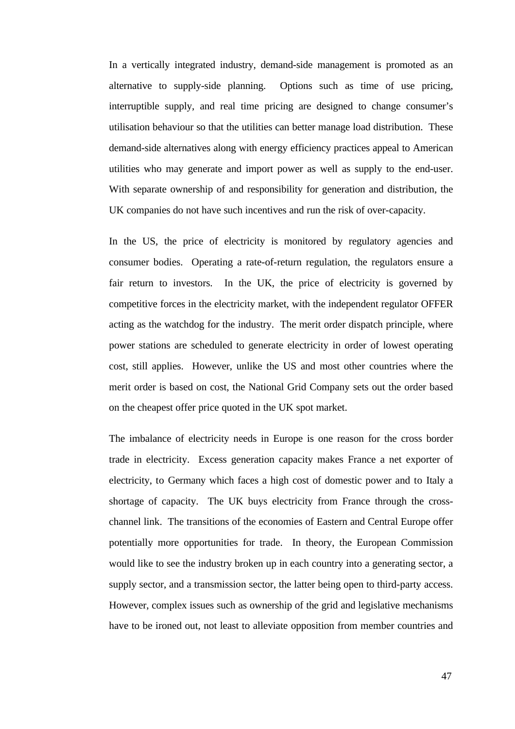In a vertically integrated industry, demand-side management is promoted as an alternative to supply-side planning. Options such as time of use pricing, interruptible supply, and real time pricing are designed to change consumer's utilisation behaviour so that the utilities can better manage load distribution. These demand-side alternatives along with energy efficiency practices appeal to American utilities who may generate and import power as well as supply to the end-user. With separate ownership of and responsibility for generation and distribution, the UK companies do not have such incentives and run the risk of over-capacity.

In the US, the price of electricity is monitored by regulatory agencies and consumer bodies. Operating a rate-of-return regulation, the regulators ensure a fair return to investors. In the UK, the price of electricity is governed by competitive forces in the electricity market, with the independent regulator OFFER acting as the watchdog for the industry. The merit order dispatch principle, where power stations are scheduled to generate electricity in order of lowest operating cost, still applies. However, unlike the US and most other countries where the merit order is based on cost, the National Grid Company sets out the order based on the cheapest offer price quoted in the UK spot market.

The imbalance of electricity needs in Europe is one reason for the cross border trade in electricity. Excess generation capacity makes France a net exporter of electricity, to Germany which faces a high cost of domestic power and to Italy a shortage of capacity. The UK buys electricity from France through the crosschannel link. The transitions of the economies of Eastern and Central Europe offer potentially more opportunities for trade. In theory, the European Commission would like to see the industry broken up in each country into a generating sector, a supply sector, and a transmission sector, the latter being open to third-party access. However, complex issues such as ownership of the grid and legislative mechanisms have to be ironed out, not least to alleviate opposition from member countries and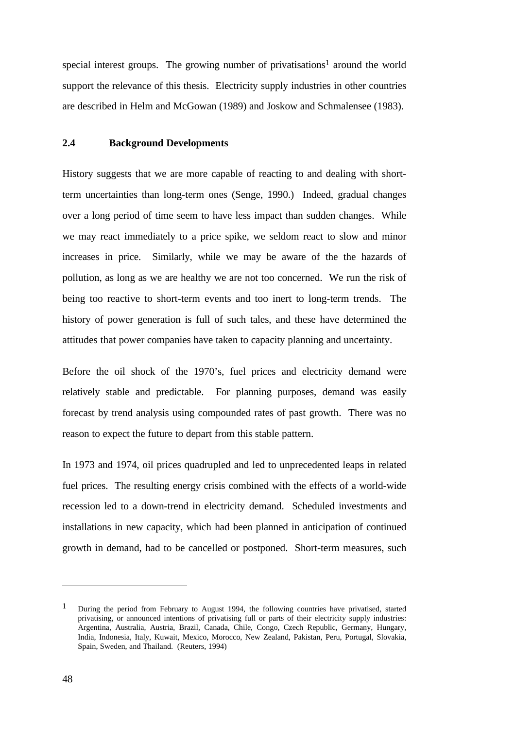special interest groups. The growing number of privatisations<sup>1</sup> around the world support the relevance of this thesis. Electricity supply industries in other countries are described in Helm and McGowan (1989) and Joskow and Schmalensee (1983).

# **2.4 Background Developments**

History suggests that we are more capable of reacting to and dealing with shortterm uncertainties than long-term ones (Senge, 1990.) Indeed, gradual changes over a long period of time seem to have less impact than sudden changes. While we may react immediately to a price spike, we seldom react to slow and minor increases in price. Similarly, while we may be aware of the the hazards of pollution, as long as we are healthy we are not too concerned. We run the risk of being too reactive to short-term events and too inert to long-term trends. The history of power generation is full of such tales, and these have determined the attitudes that power companies have taken to capacity planning and uncertainty.

Before the oil shock of the 1970's, fuel prices and electricity demand were relatively stable and predictable. For planning purposes, demand was easily forecast by trend analysis using compounded rates of past growth. There was no reason to expect the future to depart from this stable pattern.

In 1973 and 1974, oil prices quadrupled and led to unprecedented leaps in related fuel prices. The resulting energy crisis combined with the effects of a world-wide recession led to a down-trend in electricity demand. Scheduled investments and installations in new capacity, which had been planned in anticipation of continued growth in demand, had to be cancelled or postponed. Short-term measures, such

 $\overline{a}$ 

<sup>1</sup> During the period from February to August 1994, the following countries have privatised, started privatising, or announced intentions of privatising full or parts of their electricity supply industries: Argentina, Australia, Austria, Brazil, Canada, Chile, Congo, Czech Republic, Germany, Hungary, India, Indonesia, Italy, Kuwait, Mexico, Morocco, New Zealand, Pakistan, Peru, Portugal, Slovakia, Spain, Sweden, and Thailand. (Reuters, 1994)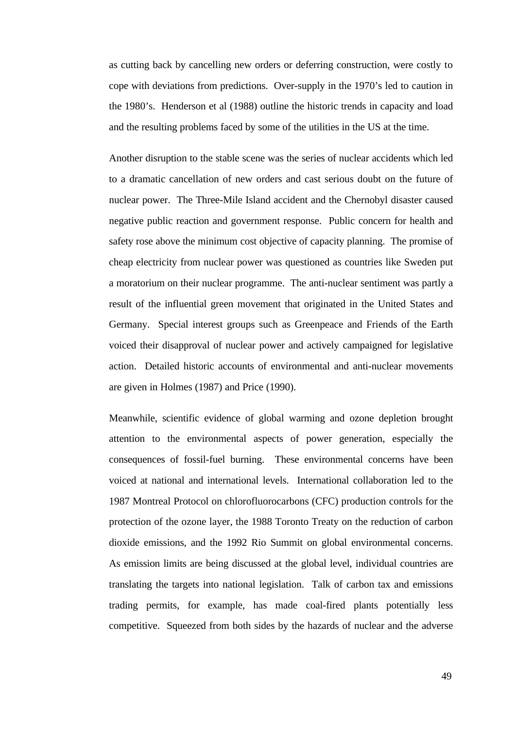as cutting back by cancelling new orders or deferring construction, were costly to cope with deviations from predictions. Over-supply in the 1970's led to caution in the 1980's. Henderson et al (1988) outline the historic trends in capacity and load and the resulting problems faced by some of the utilities in the US at the time.

Another disruption to the stable scene was the series of nuclear accidents which led to a dramatic cancellation of new orders and cast serious doubt on the future of nuclear power. The Three-Mile Island accident and the Chernobyl disaster caused negative public reaction and government response. Public concern for health and safety rose above the minimum cost objective of capacity planning. The promise of cheap electricity from nuclear power was questioned as countries like Sweden put a moratorium on their nuclear programme. The anti-nuclear sentiment was partly a result of the influential green movement that originated in the United States and Germany. Special interest groups such as Greenpeace and Friends of the Earth voiced their disapproval of nuclear power and actively campaigned for legislative action. Detailed historic accounts of environmental and anti-nuclear movements are given in Holmes (1987) and Price (1990).

Meanwhile, scientific evidence of global warming and ozone depletion brought attention to the environmental aspects of power generation, especially the consequences of fossil-fuel burning. These environmental concerns have been voiced at national and international levels. International collaboration led to the 1987 Montreal Protocol on chlorofluorocarbons (CFC) production controls for the protection of the ozone layer, the 1988 Toronto Treaty on the reduction of carbon dioxide emissions, and the 1992 Rio Summit on global environmental concerns. As emission limits are being discussed at the global level, individual countries are translating the targets into national legislation. Talk of carbon tax and emissions trading permits, for example, has made coal-fired plants potentially less competitive. Squeezed from both sides by the hazards of nuclear and the adverse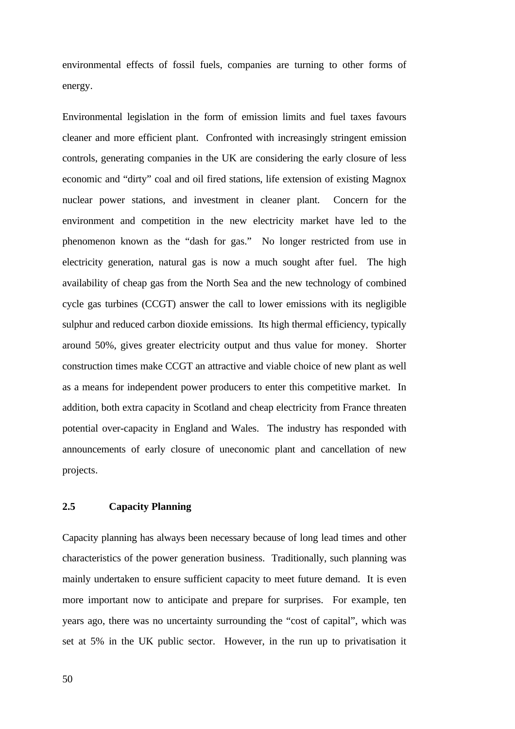environmental effects of fossil fuels, companies are turning to other forms of energy.

Environmental legislation in the form of emission limits and fuel taxes favours cleaner and more efficient plant. Confronted with increasingly stringent emission controls, generating companies in the UK are considering the early closure of less economic and "dirty" coal and oil fired stations, life extension of existing Magnox nuclear power stations, and investment in cleaner plant. Concern for the environment and competition in the new electricity market have led to the phenomenon known as the "dash for gas." No longer restricted from use in electricity generation, natural gas is now a much sought after fuel. The high availability of cheap gas from the North Sea and the new technology of combined cycle gas turbines (CCGT) answer the call to lower emissions with its negligible sulphur and reduced carbon dioxide emissions. Its high thermal efficiency, typically around 50%, gives greater electricity output and thus value for money. Shorter construction times make CCGT an attractive and viable choice of new plant as well as a means for independent power producers to enter this competitive market. In addition, both extra capacity in Scotland and cheap electricity from France threaten potential over-capacity in England and Wales. The industry has responded with announcements of early closure of uneconomic plant and cancellation of new projects.

# **2.5 Capacity Planning**

Capacity planning has always been necessary because of long lead times and other characteristics of the power generation business. Traditionally, such planning was mainly undertaken to ensure sufficient capacity to meet future demand. It is even more important now to anticipate and prepare for surprises. For example, ten years ago, there was no uncertainty surrounding the "cost of capital", which was set at 5% in the UK public sector. However, in the run up to privatisation it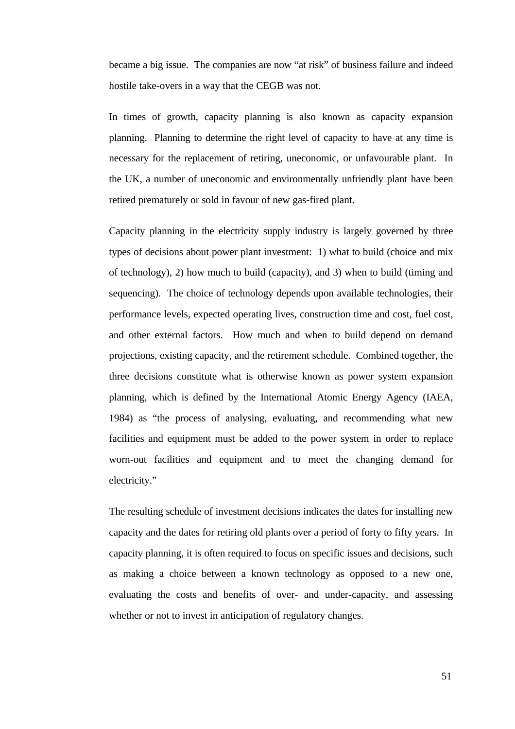became a big issue. The companies are now "at risk" of business failure and indeed hostile take-overs in a way that the CEGB was not.

In times of growth, capacity planning is also known as capacity expansion planning. Planning to determine the right level of capacity to have at any time is necessary for the replacement of retiring, uneconomic, or unfavourable plant. In the UK, a number of uneconomic and environmentally unfriendly plant have been retired prematurely or sold in favour of new gas-fired plant.

Capacity planning in the electricity supply industry is largely governed by three types of decisions about power plant investment: 1) what to build (choice and mix of technology), 2) how much to build (capacity), and 3) when to build (timing and sequencing). The choice of technology depends upon available technologies, their performance levels, expected operating lives, construction time and cost, fuel cost, and other external factors. How much and when to build depend on demand projections, existing capacity, and the retirement schedule. Combined together, the three decisions constitute what is otherwise known as power system expansion planning, which is defined by the International Atomic Energy Agency (IAEA, 1984) as "the process of analysing, evaluating, and recommending what new facilities and equipment must be added to the power system in order to replace worn-out facilities and equipment and to meet the changing demand for electricity."

The resulting schedule of investment decisions indicates the dates for installing new capacity and the dates for retiring old plants over a period of forty to fifty years. In capacity planning, it is often required to focus on specific issues and decisions, such as making a choice between a known technology as opposed to a new one, evaluating the costs and benefits of over- and under-capacity, and assessing whether or not to invest in anticipation of regulatory changes.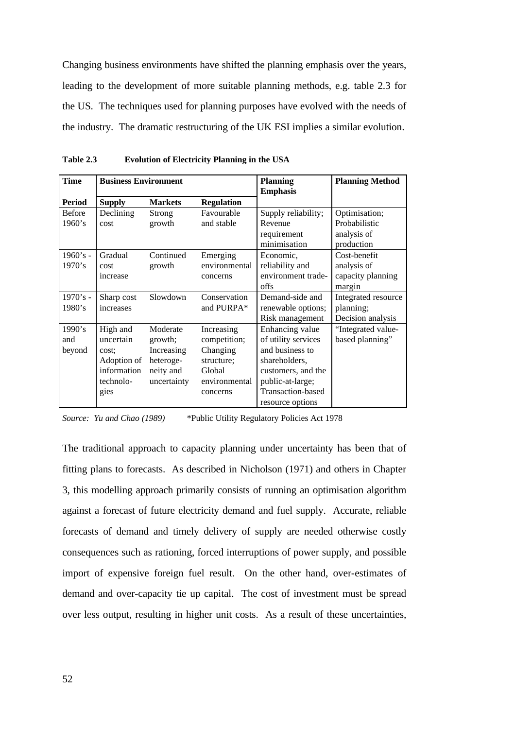Changing business environments have shifted the planning emphasis over the years, leading to the development of more suitable planning methods, e.g. table 2.3 for the US. The techniques used for planning purposes have evolved with the needs of the industry. The dramatic restructuring of the UK ESI implies a similar evolution.

| <b>Time</b>             | <b>Business Environment</b>                                                       |                                                                            | <b>Planning</b><br><b>Emphasis</b>                                                          | <b>Planning Method</b>                                                                                                                                        |                                                             |
|-------------------------|-----------------------------------------------------------------------------------|----------------------------------------------------------------------------|---------------------------------------------------------------------------------------------|---------------------------------------------------------------------------------------------------------------------------------------------------------------|-------------------------------------------------------------|
| <b>Period</b>           | <b>Supply</b>                                                                     | <b>Markets</b>                                                             | <b>Regulation</b>                                                                           |                                                                                                                                                               |                                                             |
| <b>Before</b><br>1960's | Declining<br>cost                                                                 | Strong<br>growth                                                           | Favourable<br>and stable                                                                    | Supply reliability;<br>Revenue<br>requirement<br>minimisation                                                                                                 | Optimisation;<br>Probabilistic<br>analysis of<br>production |
| $1960's -$<br>1970's    | Gradual<br>cost<br>increase                                                       | Continued<br>growth                                                        | Emerging<br>environmental<br>concerns                                                       | Economic,<br>reliability and<br>environment trade-<br>offs                                                                                                    | Cost-benefit<br>analysis of<br>capacity planning<br>margin  |
| $1970's -$<br>1980's    | Sharp cost<br>increases                                                           | Slowdown                                                                   | Conservation<br>and PURPA*                                                                  | Demand-side and<br>renewable options;<br>Risk management                                                                                                      | Integrated resource<br>planning;<br>Decision analysis       |
| 1990's<br>and<br>beyond | High and<br>uncertain<br>cost:<br>Adoption of<br>information<br>technolo-<br>gies | Moderate<br>growth;<br>Increasing<br>heteroge-<br>neity and<br>uncertainty | Increasing<br>competition;<br>Changing<br>structure;<br>Global<br>environmental<br>concerns | Enhancing value<br>of utility services<br>and business to<br>shareholders.<br>customers, and the<br>public-at-large;<br>Transaction-based<br>resource options | "Integrated value-<br>based planning"                       |

**Table 2.3 Evolution of Electricity Planning in the USA**

*Source: Yu and Chao (1989)* \*Public Utility Regulatory Policies Act 1978

The traditional approach to capacity planning under uncertainty has been that of fitting plans to forecasts. As described in Nicholson (1971) and others in Chapter 3, this modelling approach primarily consists of running an optimisation algorithm against a forecast of future electricity demand and fuel supply. Accurate, reliable forecasts of demand and timely delivery of supply are needed otherwise costly consequences such as rationing, forced interruptions of power supply, and possible import of expensive foreign fuel result. On the other hand, over-estimates of demand and over-capacity tie up capital. The cost of investment must be spread over less output, resulting in higher unit costs. As a result of these uncertainties,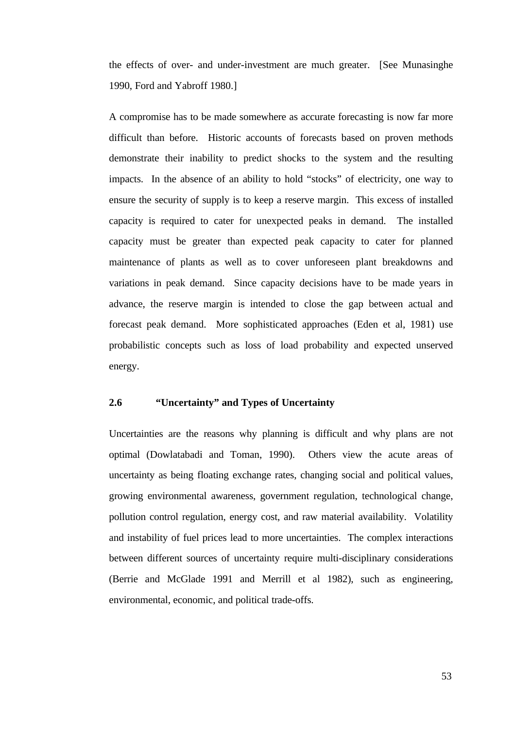the effects of over- and under-investment are much greater. [See Munasinghe 1990, Ford and Yabroff 1980.]

A compromise has to be made somewhere as accurate forecasting is now far more difficult than before. Historic accounts of forecasts based on proven methods demonstrate their inability to predict shocks to the system and the resulting impacts. In the absence of an ability to hold "stocks" of electricity, one way to ensure the security of supply is to keep a reserve margin. This excess of installed capacity is required to cater for unexpected peaks in demand. The installed capacity must be greater than expected peak capacity to cater for planned maintenance of plants as well as to cover unforeseen plant breakdowns and variations in peak demand. Since capacity decisions have to be made years in advance, the reserve margin is intended to close the gap between actual and forecast peak demand. More sophisticated approaches (Eden et al, 1981) use probabilistic concepts such as loss of load probability and expected unserved energy.

# **2.6 "Uncertainty" and Types of Uncertainty**

Uncertainties are the reasons why planning is difficult and why plans are not optimal (Dowlatabadi and Toman, 1990). Others view the acute areas of uncertainty as being floating exchange rates, changing social and political values, growing environmental awareness, government regulation, technological change, pollution control regulation, energy cost, and raw material availability. Volatility and instability of fuel prices lead to more uncertainties. The complex interactions between different sources of uncertainty require multi-disciplinary considerations (Berrie and McGlade 1991 and Merrill et al 1982), such as engineering, environmental, economic, and political trade-offs.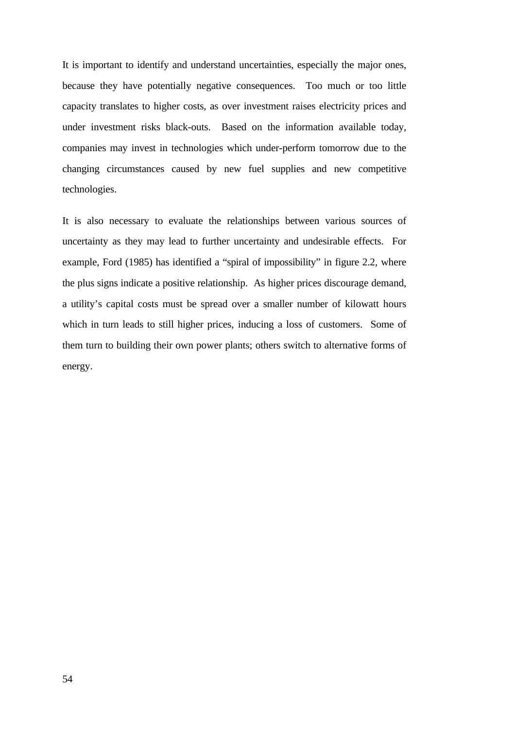It is important to identify and understand uncertainties, especially the major ones, because they have potentially negative consequences. Too much or too little capacity translates to higher costs, as over investment raises electricity prices and under investment risks black-outs. Based on the information available today, companies may invest in technologies which under-perform tomorrow due to the changing circumstances caused by new fuel supplies and new competitive technologies.

It is also necessary to evaluate the relationships between various sources of uncertainty as they may lead to further uncertainty and undesirable effects. For example, Ford (1985) has identified a "spiral of impossibility" in figure 2.2, where the plus signs indicate a positive relationship. As higher prices discourage demand, a utility's capital costs must be spread over a smaller number of kilowatt hours which in turn leads to still higher prices, inducing a loss of customers. Some of them turn to building their own power plants; others switch to alternative forms of energy.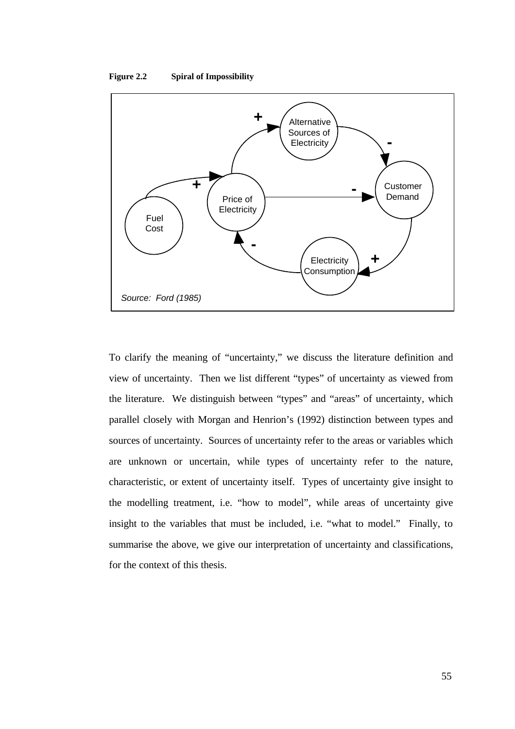



To clarify the meaning of "uncertainty," we discuss the literature definition and view of uncertainty. Then we list different "types" of uncertainty as viewed from the literature. We distinguish between "types" and "areas" of uncertainty, which parallel closely with Morgan and Henrion's (1992) distinction between types and sources of uncertainty. Sources of uncertainty refer to the areas or variables which are unknown or uncertain, while types of uncertainty refer to the nature, characteristic, or extent of uncertainty itself. Types of uncertainty give insight to the modelling treatment, i.e. "how to model", while areas of uncertainty give insight to the variables that must be included, i.e. "what to model." Finally, to summarise the above, we give our interpretation of uncertainty and classifications, for the context of this thesis.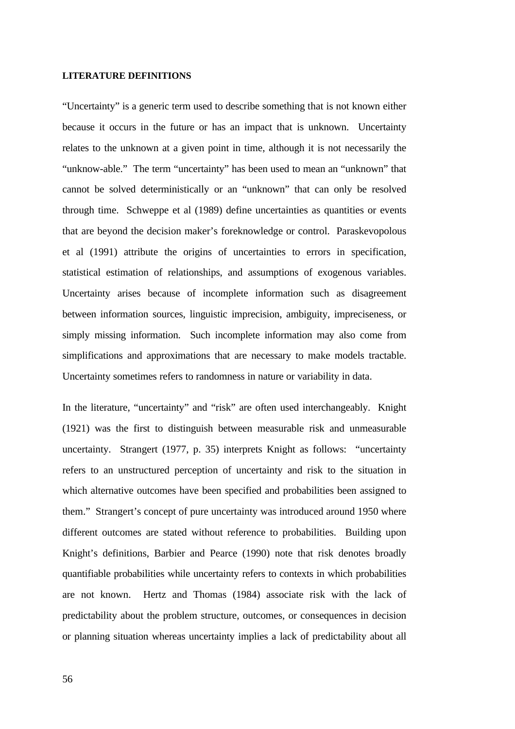#### **LITERATURE DEFINITIONS**

"Uncertainty" is a generic term used to describe something that is not known either because it occurs in the future or has an impact that is unknown. Uncertainty relates to the unknown at a given point in time, although it is not necessarily the "unknow-able." The term "uncertainty" has been used to mean an "unknown" that cannot be solved deterministically or an "unknown" that can only be resolved through time. Schweppe et al (1989) define uncertainties as quantities or events that are beyond the decision maker's foreknowledge or control. Paraskevopolous et al (1991) attribute the origins of uncertainties to errors in specification, statistical estimation of relationships, and assumptions of exogenous variables. Uncertainty arises because of incomplete information such as disagreement between information sources, linguistic imprecision, ambiguity, impreciseness, or simply missing information. Such incomplete information may also come from simplifications and approximations that are necessary to make models tractable. Uncertainty sometimes refers to randomness in nature or variability in data.

In the literature, "uncertainty" and "risk" are often used interchangeably. Knight (1921) was the first to distinguish between measurable risk and unmeasurable uncertainty. Strangert (1977, p. 35) interprets Knight as follows: "uncertainty refers to an unstructured perception of uncertainty and risk to the situation in which alternative outcomes have been specified and probabilities been assigned to them." Strangert's concept of pure uncertainty was introduced around 1950 where different outcomes are stated without reference to probabilities. Building upon Knight's definitions, Barbier and Pearce (1990) note that risk denotes broadly quantifiable probabilities while uncertainty refers to contexts in which probabilities are not known. Hertz and Thomas (1984) associate risk with the lack of predictability about the problem structure, outcomes, or consequences in decision or planning situation whereas uncertainty implies a lack of predictability about all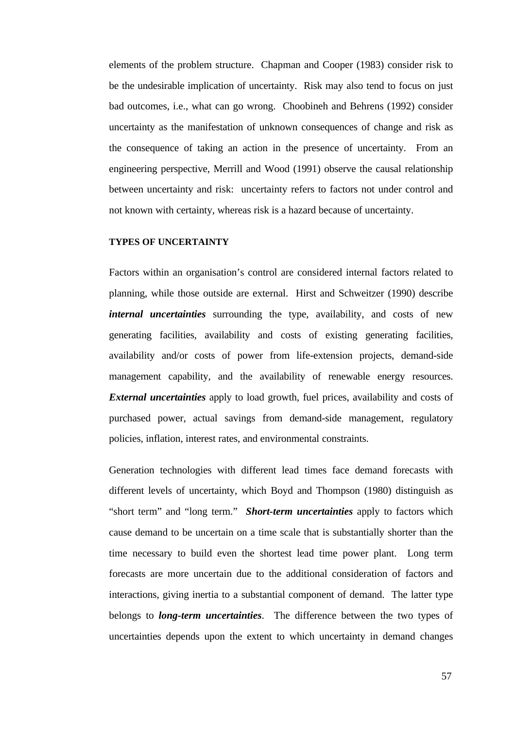elements of the problem structure. Chapman and Cooper (1983) consider risk to be the undesirable implication of uncertainty. Risk may also tend to focus on just bad outcomes, i.e., what can go wrong. Choobineh and Behrens (1992) consider uncertainty as the manifestation of unknown consequences of change and risk as the consequence of taking an action in the presence of uncertainty. From an engineering perspective, Merrill and Wood (1991) observe the causal relationship between uncertainty and risk: uncertainty refers to factors not under control and not known with certainty, whereas risk is a hazard because of uncertainty.

## **TYPES OF UNCERTAINTY**

Factors within an organisation's control are considered internal factors related to planning, while those outside are external. Hirst and Schweitzer (1990) describe *internal uncertainties* surrounding the type, availability, and costs of new generating facilities, availability and costs of existing generating facilities, availability and/or costs of power from life-extension projects, demand-side management capability, and the availability of renewable energy resources. *External uncertainties* apply to load growth, fuel prices, availability and costs of purchased power, actual savings from demand-side management, regulatory policies, inflation, interest rates, and environmental constraints.

Generation technologies with different lead times face demand forecasts with different levels of uncertainty, which Boyd and Thompson (1980) distinguish as "short term" and "long term." *Short-term uncertainties* apply to factors which cause demand to be uncertain on a time scale that is substantially shorter than the time necessary to build even the shortest lead time power plant. Long term forecasts are more uncertain due to the additional consideration of factors and interactions, giving inertia to a substantial component of demand. The latter type belongs to *long-term uncertainties*. The difference between the two types of uncertainties depends upon the extent to which uncertainty in demand changes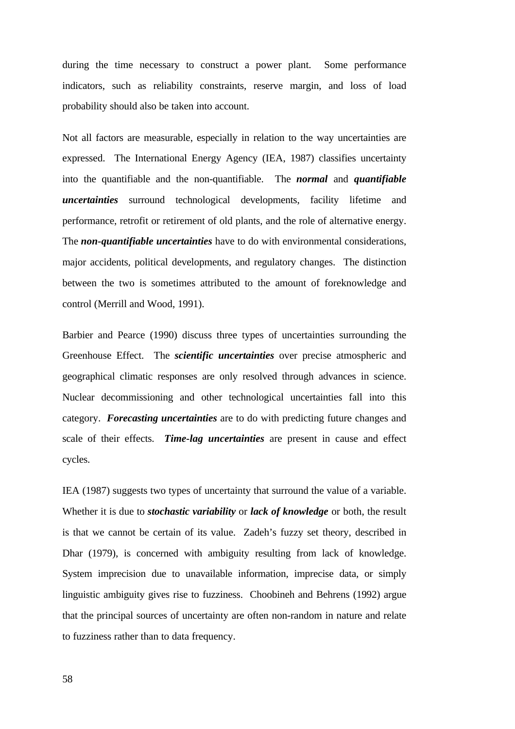during the time necessary to construct a power plant. Some performance indicators, such as reliability constraints, reserve margin, and loss of load probability should also be taken into account.

Not all factors are measurable, especially in relation to the way uncertainties are expressed. The International Energy Agency (IEA, 1987) classifies uncertainty into the quantifiable and the non-quantifiable. The *normal* and *quantifiable uncertainties* surround technological developments, facility lifetime and performance, retrofit or retirement of old plants, and the role of alternative energy. The *non-quantifiable uncertainties* have to do with environmental considerations, major accidents, political developments, and regulatory changes. The distinction between the two is sometimes attributed to the amount of foreknowledge and control (Merrill and Wood, 1991).

Barbier and Pearce (1990) discuss three types of uncertainties surrounding the Greenhouse Effect. The *scientific uncertainties* over precise atmospheric and geographical climatic responses are only resolved through advances in science. Nuclear decommissioning and other technological uncertainties fall into this category. *Forecasting uncertainties* are to do with predicting future changes and scale of their effects. *Time-lag uncertainties* are present in cause and effect cycles.

IEA (1987) suggests two types of uncertainty that surround the value of a variable. Whether it is due to *stochastic variability* or *lack of knowledge* or both, the result is that we cannot be certain of its value. Zadeh's fuzzy set theory, described in Dhar (1979), is concerned with ambiguity resulting from lack of knowledge. System imprecision due to unavailable information, imprecise data, or simply linguistic ambiguity gives rise to fuzziness. Choobineh and Behrens (1992) argue that the principal sources of uncertainty are often non-random in nature and relate to fuzziness rather than to data frequency.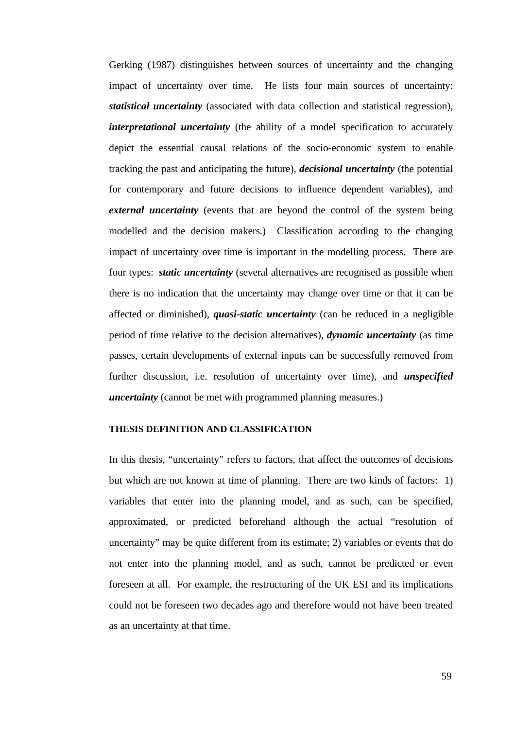Gerking (1987) distinguishes between sources of uncertainty and the changing impact of uncertainty over time. He lists four main sources of uncertainty: *statistical uncertainty* (associated with data collection and statistical regression), *interpretational uncertainty* (the ability of a model specification to accurately depict the essential causal relations of the socio-economic system to enable tracking the past and anticipating the future), *decisional uncertainty* (the potential for contemporary and future decisions to influence dependent variables), and *external uncertainty* (events that are beyond the control of the system being modelled and the decision makers.) Classification according to the changing impact of uncertainty over time is important in the modelling process. There are four types: *static uncertainty* (several alternatives are recognised as possible when there is no indication that the uncertainty may change over time or that it can be affected or diminished), *quasi-static uncertainty* (can be reduced in a negligible period of time relative to the decision alternatives), *dynamic uncertainty* (as time passes, certain developments of external inputs can be successfully removed from further discussion, i.e. resolution of uncertainty over time), and *unspecified uncertainty* (cannot be met with programmed planning measures.)

#### **THESIS DEFINITION AND CLASSIFICATION**

In this thesis, "uncertainty" refers to factors, that affect the outcomes of decisions but which are not known at time of planning. There are two kinds of factors: 1) variables that enter into the planning model, and as such, can be specified, approximated, or predicted beforehand although the actual "resolution of uncertainty" may be quite different from its estimate; 2) variables or events that do not enter into the planning model, and as such, cannot be predicted or even foreseen at all. For example, the restructuring of the UK ESI and its implications could not be foreseen two decades ago and therefore would not have been treated as an uncertainty at that time.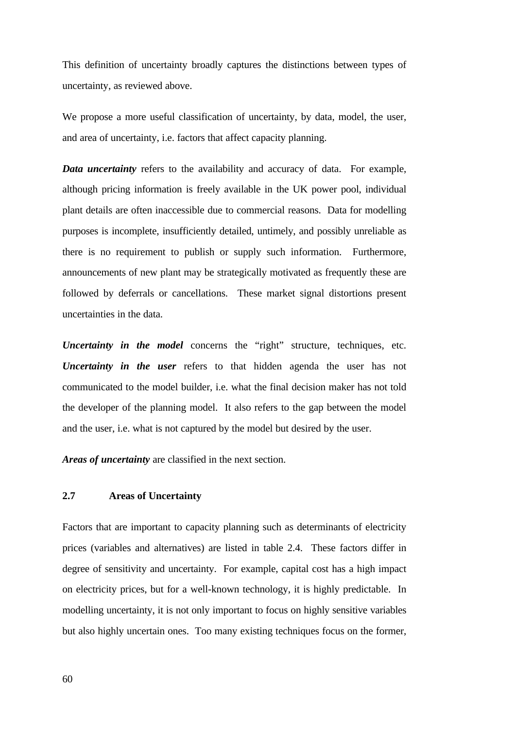This definition of uncertainty broadly captures the distinctions between types of uncertainty, as reviewed above.

We propose a more useful classification of uncertainty, by data, model, the user, and area of uncertainty, i.e. factors that affect capacity planning.

*Data uncertainty* refers to the availability and accuracy of data. For example, although pricing information is freely available in the UK power pool, individual plant details are often inaccessible due to commercial reasons. Data for modelling purposes is incomplete, insufficiently detailed, untimely, and possibly unreliable as there is no requirement to publish or supply such information. Furthermore, announcements of new plant may be strategically motivated as frequently these are followed by deferrals or cancellations. These market signal distortions present uncertainties in the data.

*Uncertainty in the model* concerns the "right" structure, techniques, etc. *Uncertainty in the user* refers to that hidden agenda the user has not communicated to the model builder, i.e. what the final decision maker has not told the developer of the planning model. It also refers to the gap between the model and the user, i.e. what is not captured by the model but desired by the user.

*Areas of uncertainty* are classified in the next section.

## **2.7 Areas of Uncertainty**

Factors that are important to capacity planning such as determinants of electricity prices (variables and alternatives) are listed in table 2.4. These factors differ in degree of sensitivity and uncertainty. For example, capital cost has a high impact on electricity prices, but for a well-known technology, it is highly predictable. In modelling uncertainty, it is not only important to focus on highly sensitive variables but also highly uncertain ones. Too many existing techniques focus on the former,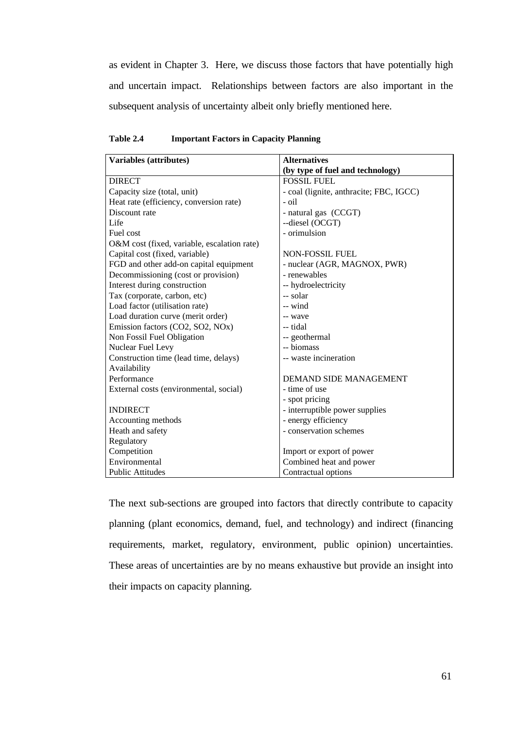as evident in Chapter 3. Here, we discuss those factors that have potentially high and uncertain impact. Relationships between factors are also important in the subsequent analysis of uncertainty albeit only briefly mentioned here.

| Variables (attributes)                      | <b>Alternatives</b>                     |  |  |
|---------------------------------------------|-----------------------------------------|--|--|
|                                             | (by type of fuel and technology)        |  |  |
| <b>DIRECT</b>                               | <b>FOSSIL FUEL</b>                      |  |  |
| Capacity size (total, unit)                 | - coal (lignite, anthracite; FBC, IGCC) |  |  |
| Heat rate (efficiency, conversion rate)     | - oil                                   |  |  |
| Discount rate                               | - natural gas (CCGT)                    |  |  |
| Life                                        | --diesel (OCGT)                         |  |  |
| Fuel cost                                   | - orimulsion                            |  |  |
| O&M cost (fixed, variable, escalation rate) |                                         |  |  |
| Capital cost (fixed, variable)              | NON-FOSSIL FUEL                         |  |  |
| FGD and other add-on capital equipment      | - nuclear (AGR, MAGNOX, PWR)            |  |  |
| Decommissioning (cost or provision)         | - renewables                            |  |  |
| Interest during construction                | -- hydroelectricity                     |  |  |
| Tax (corporate, carbon, etc)                | -- solar                                |  |  |
| Load factor (utilisation rate)              | -- wind                                 |  |  |
| Load duration curve (merit order)           | -- wave                                 |  |  |
| Emission factors (CO2, SO2, NOx)            | -- tidal                                |  |  |
| Non Fossil Fuel Obligation                  | -- geothermal                           |  |  |
| Nuclear Fuel Levy                           | -- biomass                              |  |  |
| Construction time (lead time, delays)       | -- waste incineration                   |  |  |
| Availability                                |                                         |  |  |
| Performance                                 | DEMAND SIDE MANAGEMENT                  |  |  |
| External costs (environmental, social)      | - time of use                           |  |  |
|                                             | - spot pricing                          |  |  |
| <b>INDIRECT</b>                             | - interruptible power supplies          |  |  |
| Accounting methods                          | - energy efficiency                     |  |  |
| Heath and safety                            | - conservation schemes                  |  |  |
| Regulatory                                  |                                         |  |  |
| Competition                                 | Import or export of power               |  |  |
| Environmental                               | Combined heat and power                 |  |  |
| <b>Public Attitudes</b>                     | Contractual options                     |  |  |

**Table 2.4 Important Factors in Capacity Planning**

The next sub-sections are grouped into factors that directly contribute to capacity planning (plant economics, demand, fuel, and technology) and indirect (financing requirements, market, regulatory, environment, public opinion) uncertainties. These areas of uncertainties are by no means exhaustive but provide an insight into their impacts on capacity planning.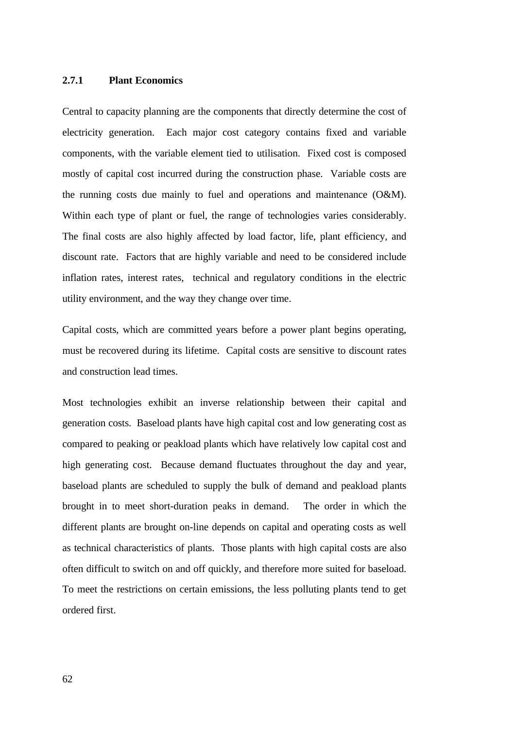## **2.7.1 Plant Economics**

Central to capacity planning are the components that directly determine the cost of electricity generation. Each major cost category contains fixed and variable components, with the variable element tied to utilisation. Fixed cost is composed mostly of capital cost incurred during the construction phase. Variable costs are the running costs due mainly to fuel and operations and maintenance (O&M). Within each type of plant or fuel, the range of technologies varies considerably. The final costs are also highly affected by load factor, life, plant efficiency, and discount rate. Factors that are highly variable and need to be considered include inflation rates, interest rates, technical and regulatory conditions in the electric utility environment, and the way they change over time.

Capital costs, which are committed years before a power plant begins operating, must be recovered during its lifetime. Capital costs are sensitive to discount rates and construction lead times.

Most technologies exhibit an inverse relationship between their capital and generation costs. Baseload plants have high capital cost and low generating cost as compared to peaking or peakload plants which have relatively low capital cost and high generating cost. Because demand fluctuates throughout the day and year, baseload plants are scheduled to supply the bulk of demand and peakload plants brought in to meet short-duration peaks in demand. The order in which the different plants are brought on-line depends on capital and operating costs as well as technical characteristics of plants. Those plants with high capital costs are also often difficult to switch on and off quickly, and therefore more suited for baseload. To meet the restrictions on certain emissions, the less polluting plants tend to get ordered first.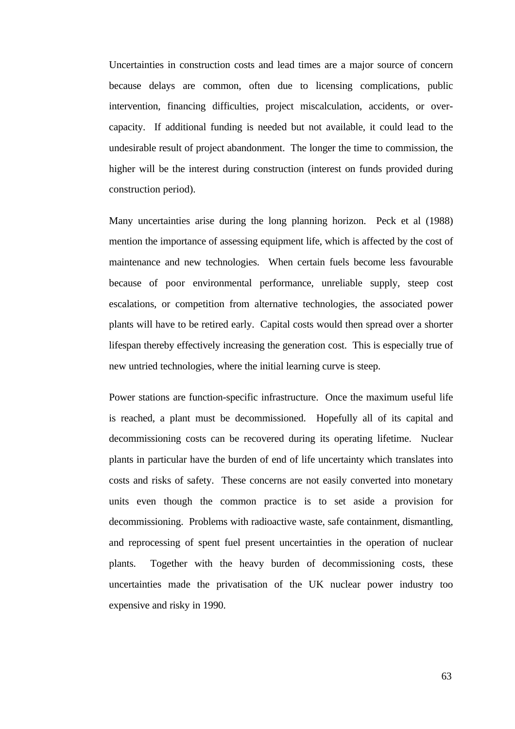Uncertainties in construction costs and lead times are a major source of concern because delays are common, often due to licensing complications, public intervention, financing difficulties, project miscalculation, accidents, or overcapacity. If additional funding is needed but not available, it could lead to the undesirable result of project abandonment. The longer the time to commission, the higher will be the interest during construction (interest on funds provided during construction period).

Many uncertainties arise during the long planning horizon. Peck et al (1988) mention the importance of assessing equipment life, which is affected by the cost of maintenance and new technologies. When certain fuels become less favourable because of poor environmental performance, unreliable supply, steep cost escalations, or competition from alternative technologies, the associated power plants will have to be retired early. Capital costs would then spread over a shorter lifespan thereby effectively increasing the generation cost. This is especially true of new untried technologies, where the initial learning curve is steep.

Power stations are function-specific infrastructure. Once the maximum useful life is reached, a plant must be decommissioned. Hopefully all of its capital and decommissioning costs can be recovered during its operating lifetime. Nuclear plants in particular have the burden of end of life uncertainty which translates into costs and risks of safety. These concerns are not easily converted into monetary units even though the common practice is to set aside a provision for decommissioning. Problems with radioactive waste, safe containment, dismantling, and reprocessing of spent fuel present uncertainties in the operation of nuclear plants. Together with the heavy burden of decommissioning costs, these uncertainties made the privatisation of the UK nuclear power industry too expensive and risky in 1990.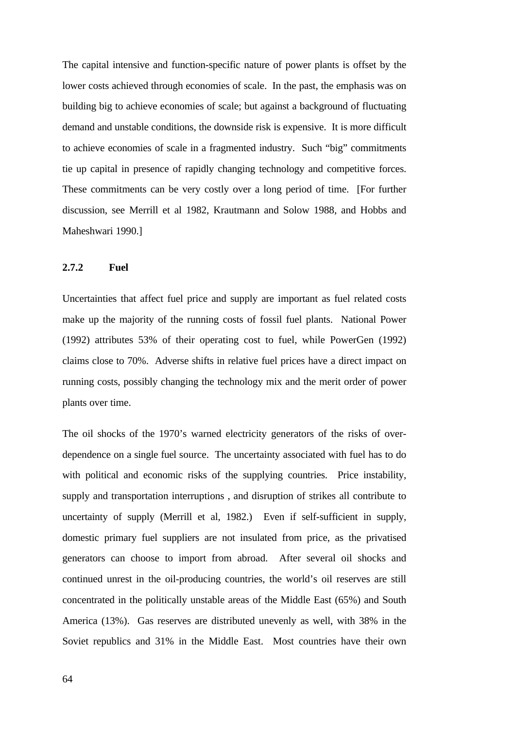The capital intensive and function-specific nature of power plants is offset by the lower costs achieved through economies of scale. In the past, the emphasis was on building big to achieve economies of scale; but against a background of fluctuating demand and unstable conditions, the downside risk is expensive. It is more difficult to achieve economies of scale in a fragmented industry. Such "big" commitments tie up capital in presence of rapidly changing technology and competitive forces. These commitments can be very costly over a long period of time. [For further discussion, see Merrill et al 1982, Krautmann and Solow 1988, and Hobbs and Maheshwari 1990.]

### **2.7.2 Fuel**

Uncertainties that affect fuel price and supply are important as fuel related costs make up the majority of the running costs of fossil fuel plants. National Power (1992) attributes 53% of their operating cost to fuel, while PowerGen (1992) claims close to 70%.Adverse shifts in relative fuel prices have a direct impact on running costs, possibly changing the technology mix and the merit order of power plants over time.

The oil shocks of the 1970's warned electricity generators of the risks of overdependence on a single fuel source. The uncertainty associated with fuel has to do with political and economic risks of the supplying countries. Price instability, supply and transportation interruptions , and disruption of strikes all contribute to uncertainty of supply (Merrill et al, 1982.) Even if self-sufficient in supply, domestic primary fuel suppliers are not insulated from price, as the privatised generators can choose to import from abroad. After several oil shocks and continued unrest in the oil-producing countries, the world's oil reserves are still concentrated in the politically unstable areas of the Middle East (65%) and South America (13%). Gas reserves are distributed unevenly as well, with 38% in the Soviet republics and 31% in the Middle East. Most countries have their own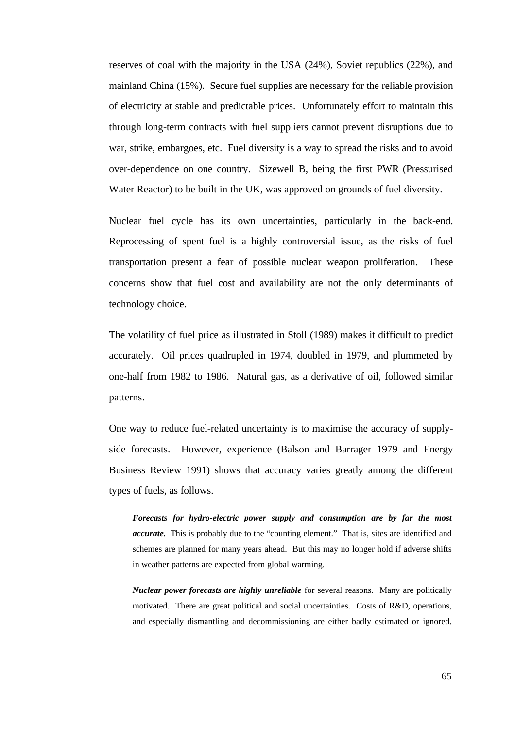reserves of coal with the majority in the USA (24%), Soviet republics (22%), and mainland China (15%). Secure fuel supplies are necessary for the reliable provision of electricity at stable and predictable prices. Unfortunately effort to maintain this through long-term contracts with fuel suppliers cannot prevent disruptions due to war, strike, embargoes, etc. Fuel diversity is a way to spread the risks and to avoid over-dependence on one country. Sizewell B, being the first PWR (Pressurised Water Reactor) to be built in the UK, was approved on grounds of fuel diversity.

Nuclear fuel cycle has its own uncertainties, particularly in the back-end. Reprocessing of spent fuel is a highly controversial issue, as the risks of fuel transportation present a fear of possible nuclear weapon proliferation. These concerns show that fuel cost and availability are not the only determinants of technology choice.

The volatility of fuel price as illustrated in Stoll (1989) makes it difficult to predict accurately. Oil prices quadrupled in 1974, doubled in 1979, and plummeted by one-half from 1982 to 1986. Natural gas, as a derivative of oil, followed similar patterns.

One way to reduce fuel-related uncertainty is to maximise the accuracy of supplyside forecasts. However, experience (Balson and Barrager 1979 and Energy Business Review 1991) shows that accuracy varies greatly among the different types of fuels, as follows.

*Forecasts for hydro-electric power supply and consumption are by far the most accurate.* This is probably due to the "counting element." That is, sites are identified and schemes are planned for many years ahead. But this may no longer hold if adverse shifts in weather patterns are expected from global warming.

*Nuclear power forecasts are highly unreliable* for several reasons. Many are politically motivated. There are great political and social uncertainties. Costs of R&D, operations, and especially dismantling and decommissioning are either badly estimated or ignored.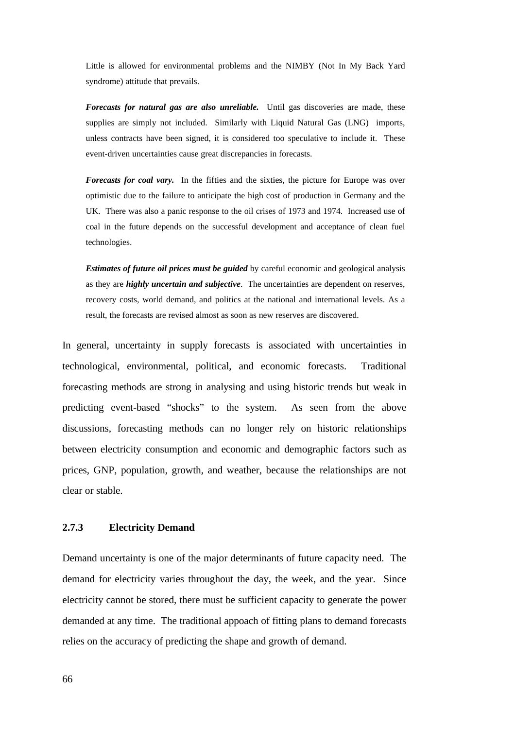Little is allowed for environmental problems and the NIMBY (Not In My Back Yard syndrome) attitude that prevails.

*Forecasts for natural gas are also unreliable.* Until gas discoveries are made, these supplies are simply not included. Similarly with Liquid Natural Gas (LNG) imports, unless contracts have been signed, it is considered too speculative to include it. These event-driven uncertainties cause great discrepancies in forecasts.

*Forecasts for coal vary.* In the fifties and the sixties, the picture for Europe was over optimistic due to the failure to anticipate the high cost of production in Germany and the UK. There was also a panic response to the oil crises of 1973 and 1974. Increased use of coal in the future depends on the successful development and acceptance of clean fuel technologies.

*Estimates of future oil prices must be guided* by careful economic and geological analysis as they are *highly uncertain and subjective*. The uncertainties are dependent on reserves, recovery costs, world demand, and politics at the national and international levels. As a result, the forecasts are revised almost as soon as new reserves are discovered.

In general, uncertainty in supply forecasts is associated with uncertainties in technological, environmental, political, and economic forecasts. Traditional forecasting methods are strong in analysing and using historic trends but weak in predicting event-based "shocks" to the system. As seen from the above discussions, forecasting methods can no longer rely on historic relationships between electricity consumption and economic and demographic factors such as prices, GNP, population, growth, and weather, because the relationships are not clear or stable.

### **2.7.3 Electricity Demand**

Demand uncertainty is one of the major determinants of future capacity need. The demand for electricity varies throughout the day, the week, and the year. Since electricity cannot be stored, there must be sufficient capacity to generate the power demanded at any time. The traditional appoach of fitting plans to demand forecasts relies on the accuracy of predicting the shape and growth of demand.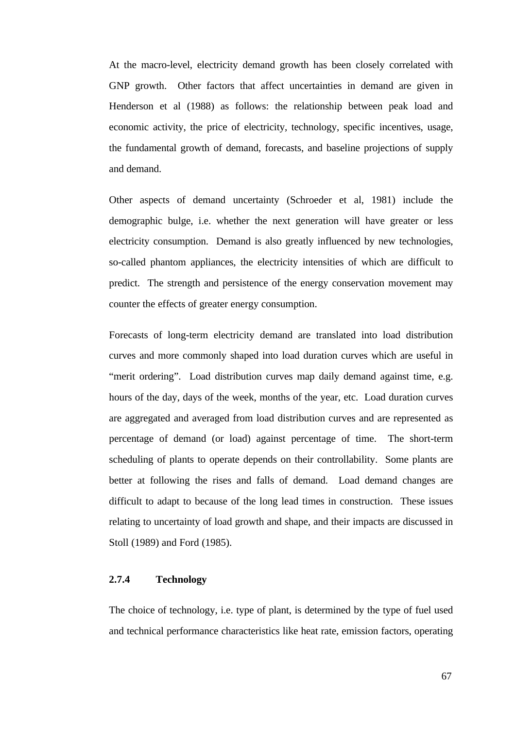At the macro-level, electricity demand growth has been closely correlated with GNP growth. Other factors that affect uncertainties in demand are given in Henderson et al (1988) as follows: the relationship between peak load and economic activity, the price of electricity, technology, specific incentives, usage, the fundamental growth of demand, forecasts, and baseline projections of supply and demand.

Other aspects of demand uncertainty (Schroeder et al, 1981) include the demographic bulge, i.e. whether the next generation will have greater or less electricity consumption. Demand is also greatly influenced by new technologies, so-called phantom appliances, the electricity intensities of which are difficult to predict. The strength and persistence of the energy conservation movement may counter the effects of greater energy consumption.

Forecasts of long-term electricity demand are translated into load distribution curves and more commonly shaped into load duration curves which are useful in "merit ordering". Load distribution curves map daily demand against time, e.g. hours of the day, days of the week, months of the year, etc. Load duration curves are aggregated and averaged from load distribution curves and are represented as percentage of demand (or load) against percentage of time. The short-term scheduling of plants to operate depends on their controllability. Some plants are better at following the rises and falls of demand. Load demand changes are difficult to adapt to because of the long lead times in construction. These issues relating to uncertainty of load growth and shape, and their impacts are discussed in Stoll (1989) and Ford (1985).

## **2.7.4 Technology**

The choice of technology, i.e. type of plant, is determined by the type of fuel used and technical performance characteristics like heat rate, emission factors, operating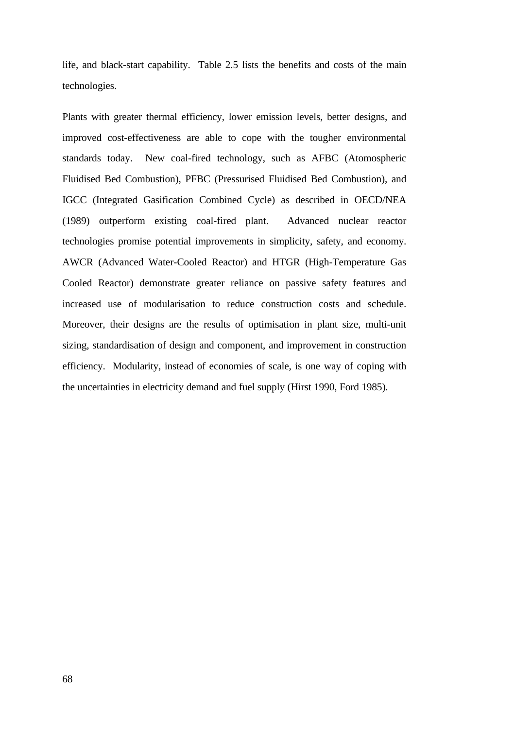life, and black-start capability. Table 2.5 lists the benefits and costs of the main technologies.

Plants with greater thermal efficiency, lower emission levels, better designs, and improved cost-effectiveness are able to cope with the tougher environmental standards today. New coal-fired technology, such as AFBC (Atomospheric Fluidised Bed Combustion), PFBC (Pressurised Fluidised Bed Combustion), and IGCC (Integrated Gasification Combined Cycle) as described in OECD/NEA (1989) outperform existing coal-fired plant. Advanced nuclear reactor technologies promise potential improvements in simplicity, safety, and economy. AWCR (Advanced Water-Cooled Reactor) and HTGR (High-Temperature Gas Cooled Reactor) demonstrate greater reliance on passive safety features and increased use of modularisation to reduce construction costs and schedule. Moreover, their designs are the results of optimisation in plant size, multi-unit sizing, standardisation of design and component, and improvement in construction efficiency. Modularity, instead of economies of scale, is one way of coping with the uncertainties in electricity demand and fuel supply (Hirst 1990, Ford 1985).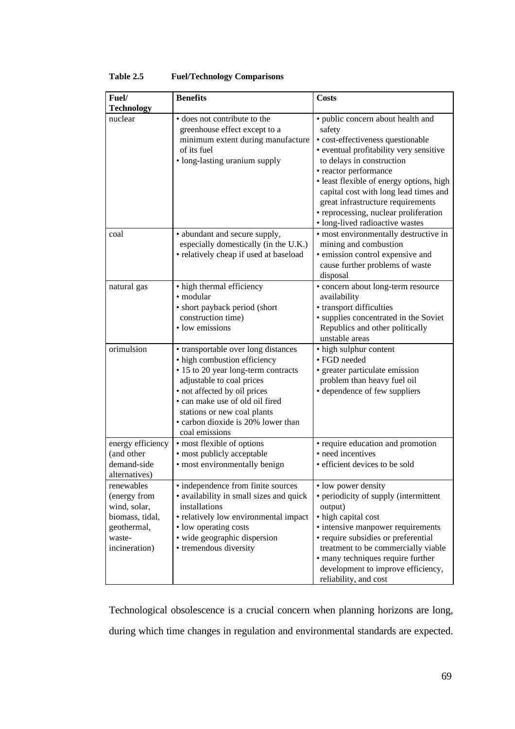| Fuel/                                                                                                   | <b>Benefits</b>                                                                                                                                                                                                                                                                                   | <b>Costs</b>                                                                                                                                                                                                                                                                                                                                                                            |
|---------------------------------------------------------------------------------------------------------|---------------------------------------------------------------------------------------------------------------------------------------------------------------------------------------------------------------------------------------------------------------------------------------------------|-----------------------------------------------------------------------------------------------------------------------------------------------------------------------------------------------------------------------------------------------------------------------------------------------------------------------------------------------------------------------------------------|
| <b>Technology</b>                                                                                       |                                                                                                                                                                                                                                                                                                   |                                                                                                                                                                                                                                                                                                                                                                                         |
| nuclear                                                                                                 | • does not contribute to the<br>greenhouse effect except to a<br>minimum extent during manufacture<br>of its fuel<br>• long-lasting uranium supply                                                                                                                                                | • public concern about health and<br>safety<br>• cost-effectiveness questionable<br>• eventual profitability very sensitive<br>to delays in construction<br>• reactor performance<br>· least flexible of energy options, high<br>capital cost with long lead times and<br>great infrastructure requirements<br>• reprocessing, nuclear proliferation<br>· long-lived radioactive wastes |
| coal                                                                                                    | • abundant and secure supply,<br>especially domestically (in the U.K.)<br>• relatively cheap if used at baseload                                                                                                                                                                                  | • most environmentally destructive in<br>mining and combustion<br>· emission control expensive and<br>cause further problems of waste<br>disposal                                                                                                                                                                                                                                       |
| natural gas                                                                                             | • high thermal efficiency<br>• modular<br>• short payback period (short<br>construction time)<br>• low emissions                                                                                                                                                                                  | · concern about long-term resource<br>availability<br>· transport difficulties<br>• supplies concentrated in the Soviet<br>Republics and other politically<br>unstable areas                                                                                                                                                                                                            |
| orimulsion                                                                                              | • transportable over long distances<br>• high combustion efficiency<br>• 15 to 20 year long-term contracts<br>adjustable to coal prices<br>• not affected by oil prices<br>• can make use of old oil fired<br>stations or new coal plants<br>• carbon dioxide is 20% lower than<br>coal emissions | • high sulphur content<br>• FGD needed<br>• greater particulate emission<br>problem than heavy fuel oil<br>• dependence of few suppliers                                                                                                                                                                                                                                                |
| energy efficiency<br>(and other<br>demand-side<br>alternatives)                                         | • most flexible of options<br>• most publicly acceptable<br>• most environmentally benign                                                                                                                                                                                                         | • require education and promotion<br>• need incentives<br>• efficient devices to be sold                                                                                                                                                                                                                                                                                                |
| renewables<br>(energy from<br>wind, solar,<br>biomass, tidal,<br>geothermal,<br>waste-<br>incineration) | • independence from finite sources<br>• availability in small sizes and quick<br>installations<br>• relatively low environmental impact<br>• low operating costs<br>· wide geographic dispersion<br>• tremendous diversity                                                                        | • low power density<br>• periodicity of supply (intermittent<br>output)<br>• high capital cost<br>• intensive manpower requirements<br>• require subsidies or preferential<br>treatment to be commercially viable<br>• many techniques require further<br>development to improve efficiency,<br>reliability, and cost                                                                   |

## **Table 2.5 Fuel/Technology Comparisons**

Technological obsolescence is a crucial concern when planning horizons are long, during which time changes in regulation and environmental standards are expected.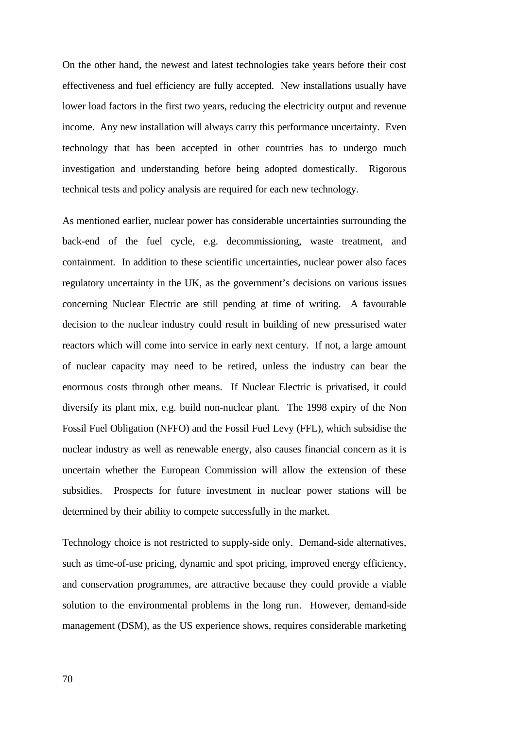On the other hand, the newest and latest technologies take years before their cost effectiveness and fuel efficiency are fully accepted. New installations usually have lower load factors in the first two years, reducing the electricity output and revenue income. Any new installation will always carry this performance uncertainty. Even technology that has been accepted in other countries has to undergo much investigation and understanding before being adopted domestically. Rigorous technical tests and policy analysis are required for each new technology.

As mentioned earlier, nuclear power has considerable uncertainties surrounding the back-end of the fuel cycle, e.g. decommissioning, waste treatment, and containment. In addition to these scientific uncertainties, nuclear power also faces regulatory uncertainty in the UK, as the government's decisions on various issues concerning Nuclear Electric are still pending at time of writing. A favourable decision to the nuclear industry could result in building of new pressurised water reactors which will come into service in early next century. If not, a large amount of nuclear capacity may need to be retired, unless the industry can bear the enormous costs through other means. If Nuclear Electric is privatised, it could diversify its plant mix, e.g. build non-nuclear plant. The 1998 expiry of the Non Fossil Fuel Obligation (NFFO) and the Fossil Fuel Levy (FFL), which subsidise the nuclear industry as well as renewable energy, also causes financial concern as it is uncertain whether the European Commission will allow the extension of these subsidies. Prospects for future investment in nuclear power stations will be determined by their ability to compete successfully in the market.

Technology choice is not restricted to supply-side only. Demand-side alternatives, such as time-of-use pricing, dynamic and spot pricing, improved energy efficiency, and conservation programmes, are attractive because they could provide a viable solution to the environmental problems in the long run. However, demand-side management (DSM), as the US experience shows, requires considerable marketing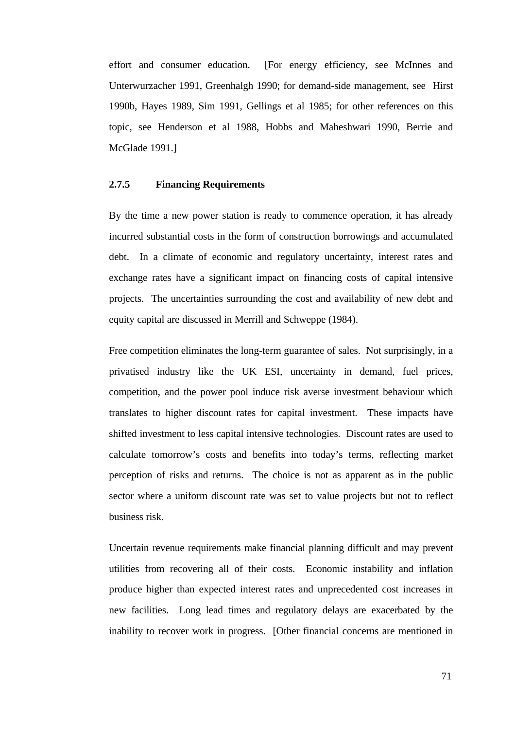effort and consumer education. [For energy efficiency, see McInnes and Unterwurzacher 1991, Greenhalgh 1990; for demand-side management, see Hirst 1990b, Hayes 1989, Sim 1991, Gellings et al 1985; for other references on this topic, see Henderson et al 1988, Hobbs and Maheshwari 1990, Berrie and McGlade 1991.]

## **2.7.5 Financing Requirements**

By the time a new power station is ready to commence operation, it has already incurred substantial costs in the form of construction borrowings and accumulated debt. In a climate of economic and regulatory uncertainty, interest rates and exchange rates have a significant impact on financing costs of capital intensive projects. The uncertainties surrounding the cost and availability of new debt and equity capital are discussed in Merrill and Schweppe (1984).

Free competition eliminates the long-term guarantee of sales. Not surprisingly, in a privatised industry like the UK ESI, uncertainty in demand, fuel prices, competition, and the power pool induce risk averse investment behaviour which translates to higher discount rates for capital investment. These impacts have shifted investment to less capital intensive technologies. Discount rates are used to calculate tomorrow's costs and benefits into today's terms, reflecting market perception of risks and returns. The choice is not as apparent as in the public sector where a uniform discount rate was set to value projects but not to reflect business risk.

Uncertain revenue requirements make financial planning difficult and may prevent utilities from recovering all of their costs. Economic instability and inflation produce higher than expected interest rates and unprecedented cost increases in new facilities. Long lead times and regulatory delays are exacerbated by the inability to recover work in progress. [Other financial concerns are mentioned in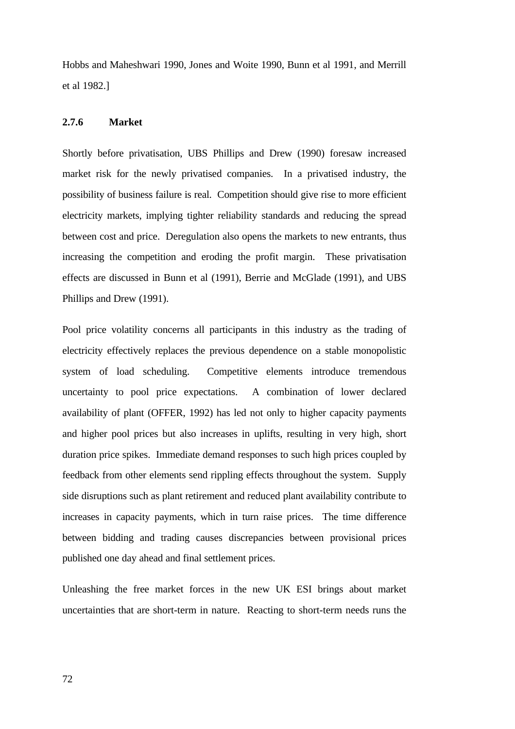Hobbs and Maheshwari 1990, Jones and Woite 1990, Bunn et al 1991, and Merrill et al 1982.]

# **2.7.6 Market**

Shortly before privatisation, UBS Phillips and Drew (1990) foresaw increased market risk for the newly privatised companies. In a privatised industry, the possibility of business failure is real. Competition should give rise to more efficient electricity markets, implying tighter reliability standards and reducing the spread between cost and price. Deregulation also opens the markets to new entrants, thus increasing the competition and eroding the profit margin. These privatisation effects are discussed in Bunn et al (1991), Berrie and McGlade (1991), and UBS Phillips and Drew (1991).

Pool price volatility concerns all participants in this industry as the trading of electricity effectively replaces the previous dependence on a stable monopolistic system of load scheduling. Competitive elements introduce tremendous uncertainty to pool price expectations. A combination of lower declared availability of plant (OFFER, 1992) has led not only to higher capacity payments and higher pool prices but also increases in uplifts, resulting in very high, short duration price spikes. Immediate demand responses to such high prices coupled by feedback from other elements send rippling effects throughout the system. Supply side disruptions such as plant retirement and reduced plant availability contribute to increases in capacity payments, which in turn raise prices. The time difference between bidding and trading causes discrepancies between provisional prices published one day ahead and final settlement prices.

Unleashing the free market forces in the new UK ESI brings about market uncertainties that are short-term in nature. Reacting to short-term needs runs the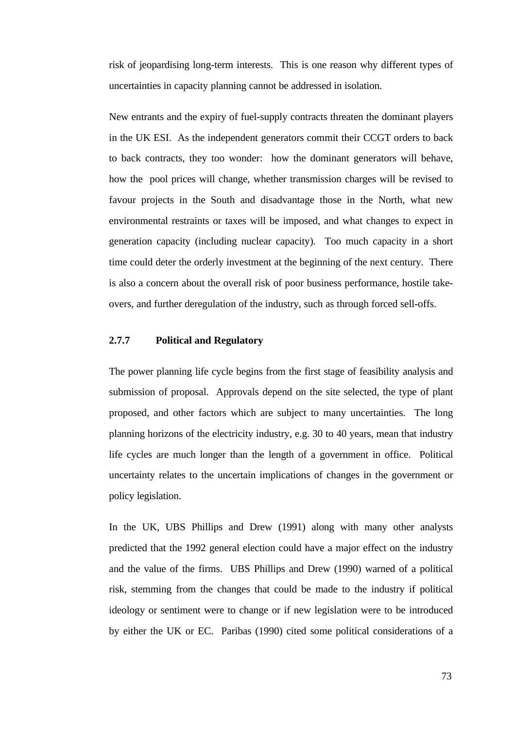risk of jeopardising long-term interests. This is one reason why different types of uncertainties in capacity planning cannot be addressed in isolation.

New entrants and the expiry of fuel-supply contracts threaten the dominant players in the UK ESI. As the independent generators commit their CCGT orders to back to back contracts, they too wonder: how the dominant generators will behave, how the pool prices will change, whether transmission charges will be revised to favour projects in the South and disadvantage those in the North, what new environmental restraints or taxes will be imposed, and what changes to expect in generation capacity (including nuclear capacity). Too much capacity in a short time could deter the orderly investment at the beginning of the next century. There is also a concern about the overall risk of poor business performance, hostile takeovers, and further deregulation of the industry, such as through forced sell-offs.

# **2.7.7 Political and Regulatory**

The power planning life cycle begins from the first stage of feasibility analysis and submission of proposal. Approvals depend on the site selected, the type of plant proposed, and other factors which are subject to many uncertainties. The long planning horizons of the electricity industry, e.g. 30 to 40 years, mean that industry life cycles are much longer than the length of a government in office. Political uncertainty relates to the uncertain implications of changes in the government or policy legislation.

In the UK, UBS Phillips and Drew (1991) along with many other analysts predicted that the 1992 general election could have a major effect on the industry and the value of the firms. UBS Phillips and Drew (1990) warned of a political risk, stemming from the changes that could be made to the industry if political ideology or sentiment were to change or if new legislation were to be introduced by either the UK or EC. Paribas (1990) cited some political considerations of a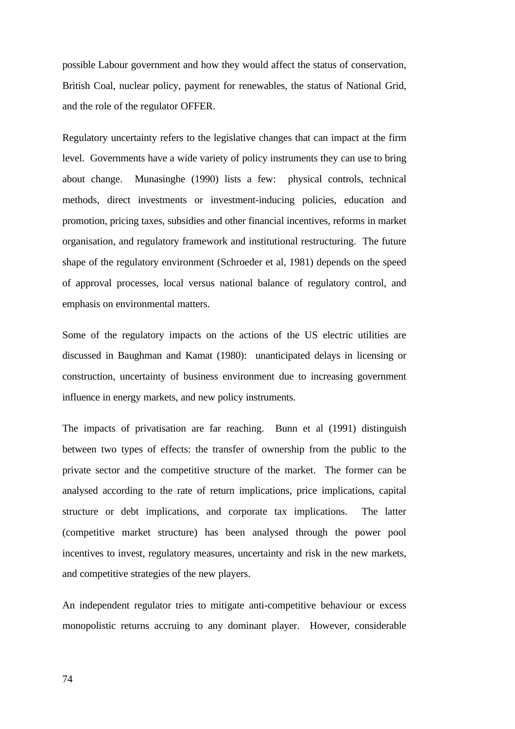possible Labour government and how they would affect the status of conservation, British Coal, nuclear policy, payment for renewables, the status of National Grid, and the role of the regulator OFFER.

Regulatory uncertainty refers to the legislative changes that can impact at the firm level. Governments have a wide variety of policy instruments they can use to bring about change. Munasinghe (1990) lists a few: physical controls, technical methods, direct investments or investment-inducing policies, education and promotion, pricing taxes, subsidies and other financial incentives, reforms in market organisation, and regulatory framework and institutional restructuring. The future shape of the regulatory environment (Schroeder et al, 1981) depends on the speed of approval processes, local versus national balance of regulatory control, and emphasis on environmental matters.

Some of the regulatory impacts on the actions of the US electric utilities are discussed in Baughman and Kamat (1980): unanticipated delays in licensing or construction, uncertainty of business environment due to increasing government influence in energy markets, and new policy instruments.

The impacts of privatisation are far reaching. Bunn et al (1991) distinguish between two types of effects: the transfer of ownership from the public to the private sector and the competitive structure of the market. The former can be analysed according to the rate of return implications, price implications, capital structure or debt implications, and corporate tax implications. The latter (competitive market structure) has been analysed through the power pool incentives to invest, regulatory measures, uncertainty and risk in the new markets, and competitive strategies of the new players.

An independent regulator tries to mitigate anti-competitive behaviour or excess monopolistic returns accruing to any dominant player. However, considerable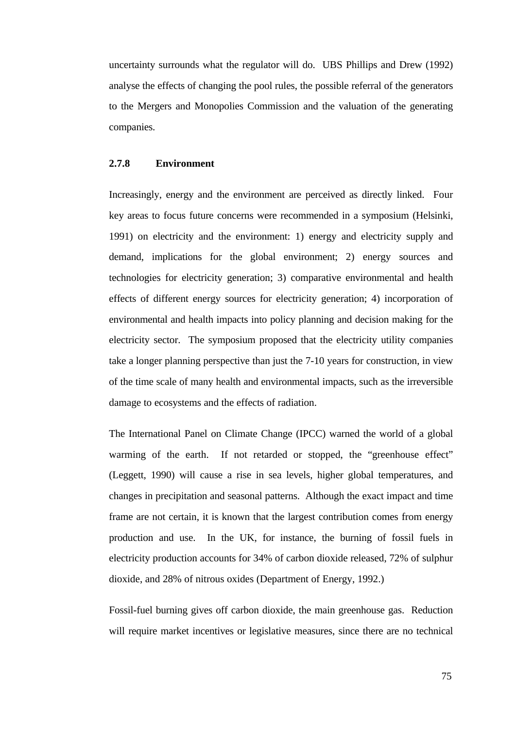uncertainty surrounds what the regulator will do. UBS Phillips and Drew (1992) analyse the effects of changing the pool rules, the possible referral of the generators to the Mergers and Monopolies Commission and the valuation of the generating companies.

### **2.7.8 Environment**

Increasingly, energy and the environment are perceived as directly linked. Four key areas to focus future concerns were recommended in a symposium (Helsinki, 1991) on electricity and the environment: 1) energy and electricity supply and demand, implications for the global environment; 2) energy sources and technologies for electricity generation; 3) comparative environmental and health effects of different energy sources for electricity generation; 4) incorporation of environmental and health impacts into policy planning and decision making for the electricity sector. The symposium proposed that the electricity utility companies take a longer planning perspective than just the 7-10 years for construction, in view of the time scale of many health and environmental impacts, such as the irreversible damage to ecosystems and the effects of radiation.

The International Panel on Climate Change (IPCC) warned the world of a global warming of the earth. If not retarded or stopped, the "greenhouse effect" (Leggett, 1990) will cause a rise in sea levels, higher global temperatures, and changes in precipitation and seasonal patterns. Although the exact impact and time frame are not certain, it is known that the largest contribution comes from energy production and use. In the UK, for instance, the burning of fossil fuels in electricity production accounts for 34% of carbon dioxide released, 72% of sulphur dioxide, and 28% of nitrous oxides (Department of Energy, 1992.)

Fossil-fuel burning gives off carbon dioxide, the main greenhouse gas. Reduction will require market incentives or legislative measures, since there are no technical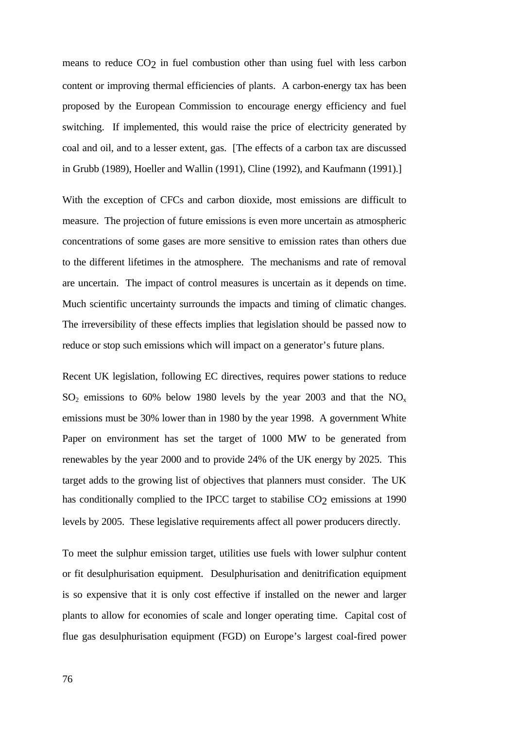means to reduce CO2 in fuel combustion other than using fuel with less carbon content or improving thermal efficiencies of plants. A carbon-energy tax has been proposed by the European Commission to encourage energy efficiency and fuel switching. If implemented, this would raise the price of electricity generated by coal and oil, and to a lesser extent, gas. [The effects of a carbon tax are discussed in Grubb (1989), Hoeller and Wallin (1991), Cline (1992), and Kaufmann (1991).]

With the exception of CFCs and carbon dioxide, most emissions are difficult to measure. The projection of future emissions is even more uncertain as atmospheric concentrations of some gases are more sensitive to emission rates than others due to the different lifetimes in the atmosphere. The mechanisms and rate of removal are uncertain. The impact of control measures is uncertain as it depends on time. Much scientific uncertainty surrounds the impacts and timing of climatic changes. The irreversibility of these effects implies that legislation should be passed now to reduce or stop such emissions which will impact on a generator's future plans.

Recent UK legislation, following EC directives, requires power stations to reduce  $SO_2$  emissions to 60% below 1980 levels by the year 2003 and that the NO<sub>x</sub> emissions must be 30% lower than in 1980 by the year 1998. A government White Paper on environment has set the target of 1000 MW to be generated from renewables by the year 2000 and to provide 24% of the UK energy by 2025. This target adds to the growing list of objectives that planners must consider. The UK has conditionally complied to the IPCC target to stabilise CO<sub>2</sub> emissions at 1990 levels by 2005. These legislative requirements affect all power producers directly.

To meet the sulphur emission target, utilities use fuels with lower sulphur content or fit desulphurisation equipment. Desulphurisation and denitrification equipment is so expensive that it is only cost effective if installed on the newer and larger plants to allow for economies of scale and longer operating time. Capital cost of flue gas desulphurisation equipment (FGD) on Europe's largest coal-fired power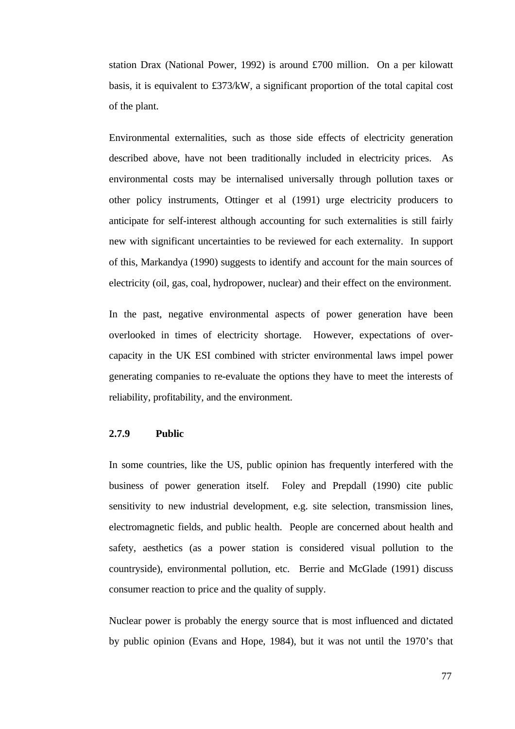station Drax (National Power, 1992) is around £700 million. On a per kilowatt basis, it is equivalent to £373/kW, a significant proportion of the total capital cost of the plant.

Environmental externalities, such as those side effects of electricity generation described above, have not been traditionally included in electricity prices. As environmental costs may be internalised universally through pollution taxes or other policy instruments, Ottinger et al (1991) urge electricity producers to anticipate for self-interest although accounting for such externalities is still fairly new with significant uncertainties to be reviewed for each externality. In support of this, Markandya (1990) suggests to identify and account for the main sources of electricity (oil, gas, coal, hydropower, nuclear) and their effect on the environment.

In the past, negative environmental aspects of power generation have been overlooked in times of electricity shortage. However, expectations of overcapacity in the UK ESI combined with stricter environmental laws impel power generating companies to re-evaluate the options they have to meet the interests of reliability, profitability, and the environment.

## **2.7.9 Public**

In some countries, like the US, public opinion has frequently interfered with the business of power generation itself. Foley and Prepdall (1990) cite public sensitivity to new industrial development, e.g. site selection, transmission lines, electromagnetic fields, and public health. People are concerned about health and safety, aesthetics (as a power station is considered visual pollution to the countryside), environmental pollution, etc. Berrie and McGlade (1991) discuss consumer reaction to price and the quality of supply.

Nuclear power is probably the energy source that is most influenced and dictated by public opinion (Evans and Hope, 1984), but it was not until the 1970's that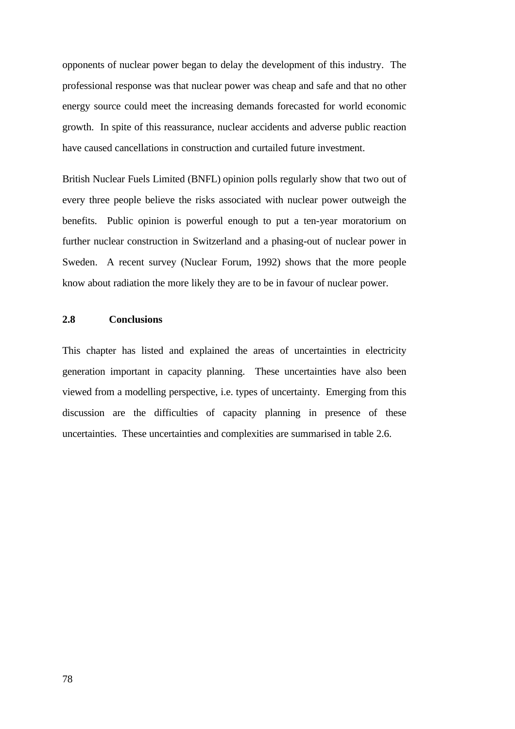opponents of nuclear power began to delay the development of this industry. The professional response was that nuclear power was cheap and safe and that no other energy source could meet the increasing demands forecasted for world economic growth. In spite of this reassurance, nuclear accidents and adverse public reaction have caused cancellations in construction and curtailed future investment.

British Nuclear Fuels Limited (BNFL) opinion polls regularly show that two out of every three people believe the risks associated with nuclear power outweigh the benefits. Public opinion is powerful enough to put a ten-year moratorium on further nuclear construction in Switzerland and a phasing-out of nuclear power in Sweden. A recent survey (Nuclear Forum, 1992) shows that the more people know about radiation the more likely they are to be in favour of nuclear power.

# **2.8 Conclusions**

This chapter has listed and explained the areas of uncertainties in electricity generation important in capacity planning. These uncertainties have also been viewed from a modelling perspective, i.e. types of uncertainty. Emerging from this discussion are the difficulties of capacity planning in presence of these uncertainties. These uncertainties and complexities are summarised in table 2.6.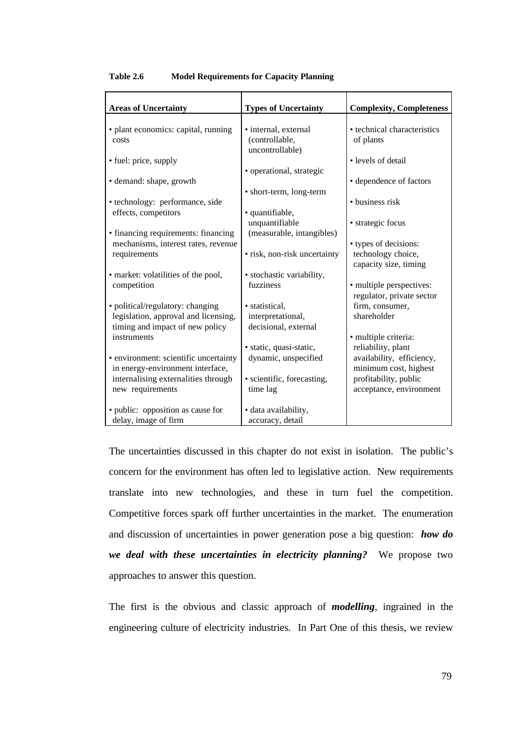| <b>Areas of Uncertainty</b>                                                                                 | <b>Types of Uncertainty</b>                                 | <b>Complexity, Completeness</b>                                      |
|-------------------------------------------------------------------------------------------------------------|-------------------------------------------------------------|----------------------------------------------------------------------|
|                                                                                                             |                                                             |                                                                      |
| • plant economics: capital, running<br>costs                                                                | • internal, external<br>(controllable,                      | • technical characteristics<br>of plants                             |
| • fuel: price, supply                                                                                       | uncontrollable)<br>• operational, strategic                 | • levels of detail                                                   |
| • demand: shape, growth                                                                                     | • short-term, long-term                                     | • dependence of factors                                              |
| • technology: performance, side<br>effects, competitors                                                     | · quantifiable,                                             | • business risk                                                      |
| • financing requirements: financing                                                                         | unquantifiable<br>(measurable, intangibles)                 | • strategic focus                                                    |
| mechanisms, interest rates, revenue<br>requirements                                                         | • risk, non-risk uncertainty                                | • types of decisions:<br>technology choice,<br>capacity size, timing |
| • market: volatilities of the pool,                                                                         | • stochastic variability,                                   |                                                                      |
| competition                                                                                                 | fuzziness                                                   | • multiple perspectives:<br>regulator, private sector                |
| • political/regulatory: changing<br>legislation, approval and licensing,<br>timing and impact of new policy | · statistical,<br>interpretational,<br>decisional, external | firm, consumer,<br>shareholder                                       |
| instruments                                                                                                 | · static, quasi-static,                                     | · multiple criteria:<br>reliability, plant                           |
| • environment: scientific uncertainty<br>in energy-environment interface,                                   | dynamic, unspecified                                        | availability, efficiency,<br>minimum cost, highest                   |
| internalising externalities through<br>new requirements                                                     | · scientific, forecasting,<br>time lag                      | profitability, public<br>acceptance, environment                     |
| · public: opposition as cause for<br>delay, image of firm                                                   | · data availability,<br>accuracy, detail                    |                                                                      |

#### **Table 2.6 Model Requirements for Capacity Planning**

The uncertainties discussed in this chapter do not exist in isolation. The public's concern for the environment has often led to legislative action. New requirements translate into new technologies, and these in turn fuel the competition. Competitive forces spark off further uncertainties in the market. The enumeration and discussion of uncertainties in power generation pose a big question: *how do we deal with these uncertainties in electricity planning?* We propose two approaches to answer this question.

The first is the obvious and classic approach of *modelling*, ingrained in the engineering culture of electricity industries. In Part One of this thesis, we review